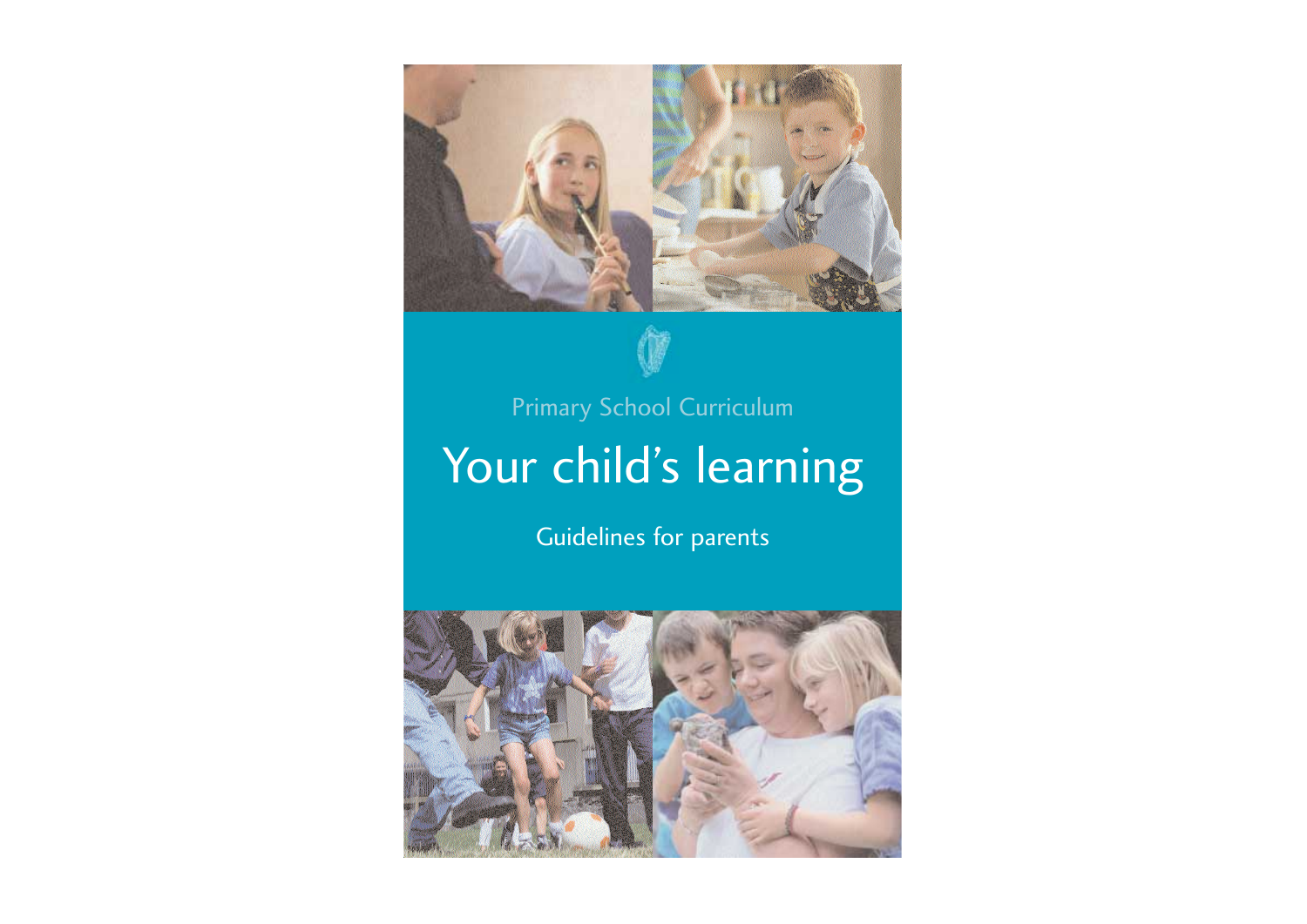

Guidelines for parents

# Your child's learning Primary School Curriculum

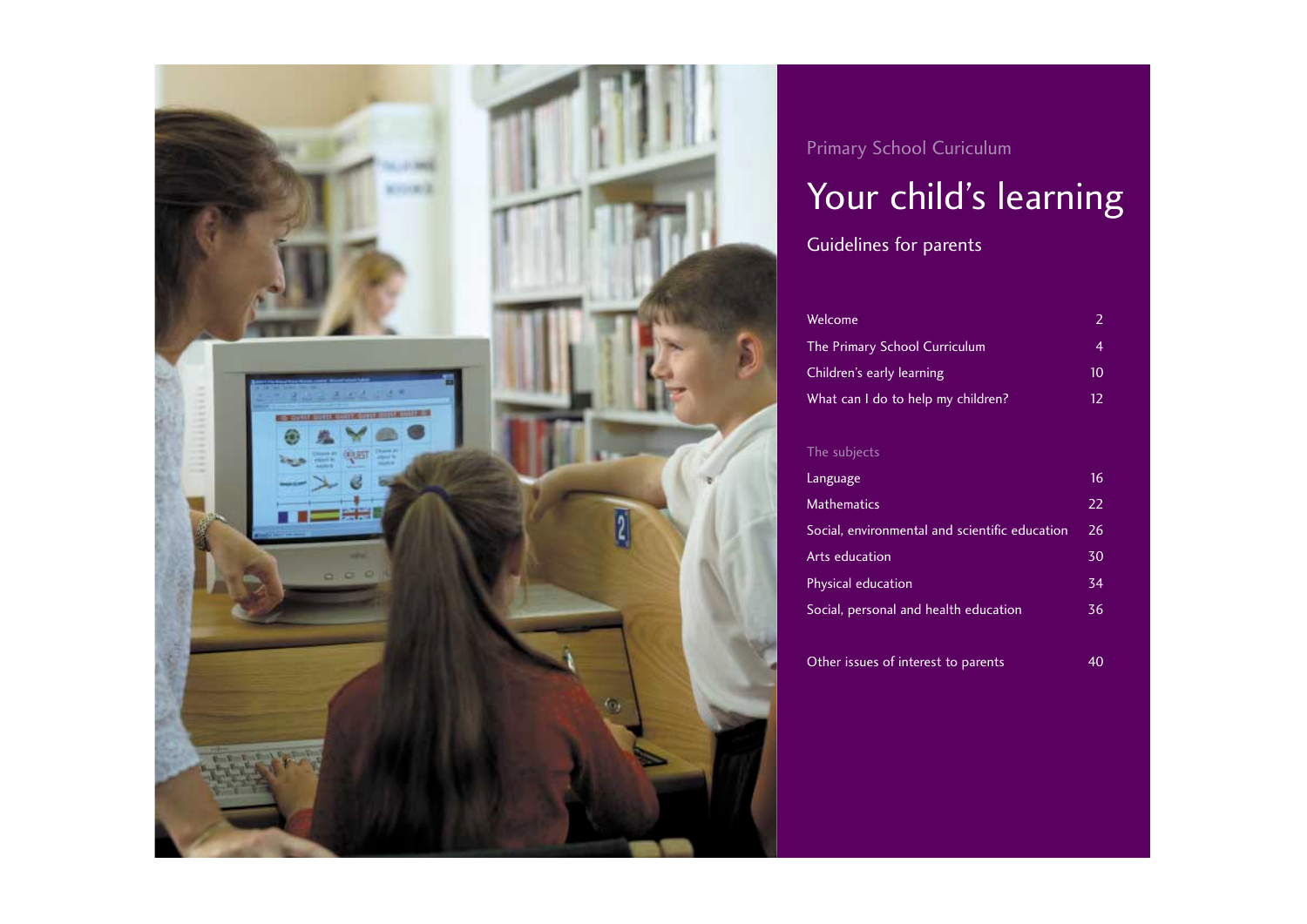The Primary School Curriculum 4 Children's early learning What can I do to help my childr

### The subjects

Language **Mathematics** Social, environmental and scient Arts education Physical education Social, personal and health educ

Other issues of interest to parent

|                 | $\overline{2}$  |  |
|-----------------|-----------------|--|
|                 | $\overline{4}$  |  |
|                 | 10              |  |
| ren?            | 12              |  |
|                 |                 |  |
|                 |                 |  |
|                 | 16              |  |
|                 | 22              |  |
| tific education | $\overline{26}$ |  |
|                 | 30              |  |
|                 | 34              |  |
| cation          | 36              |  |
|                 |                 |  |
| nts             | 40              |  |

Guidelines for parents

### Welcome



Primary School Curiculum

# Your child's learning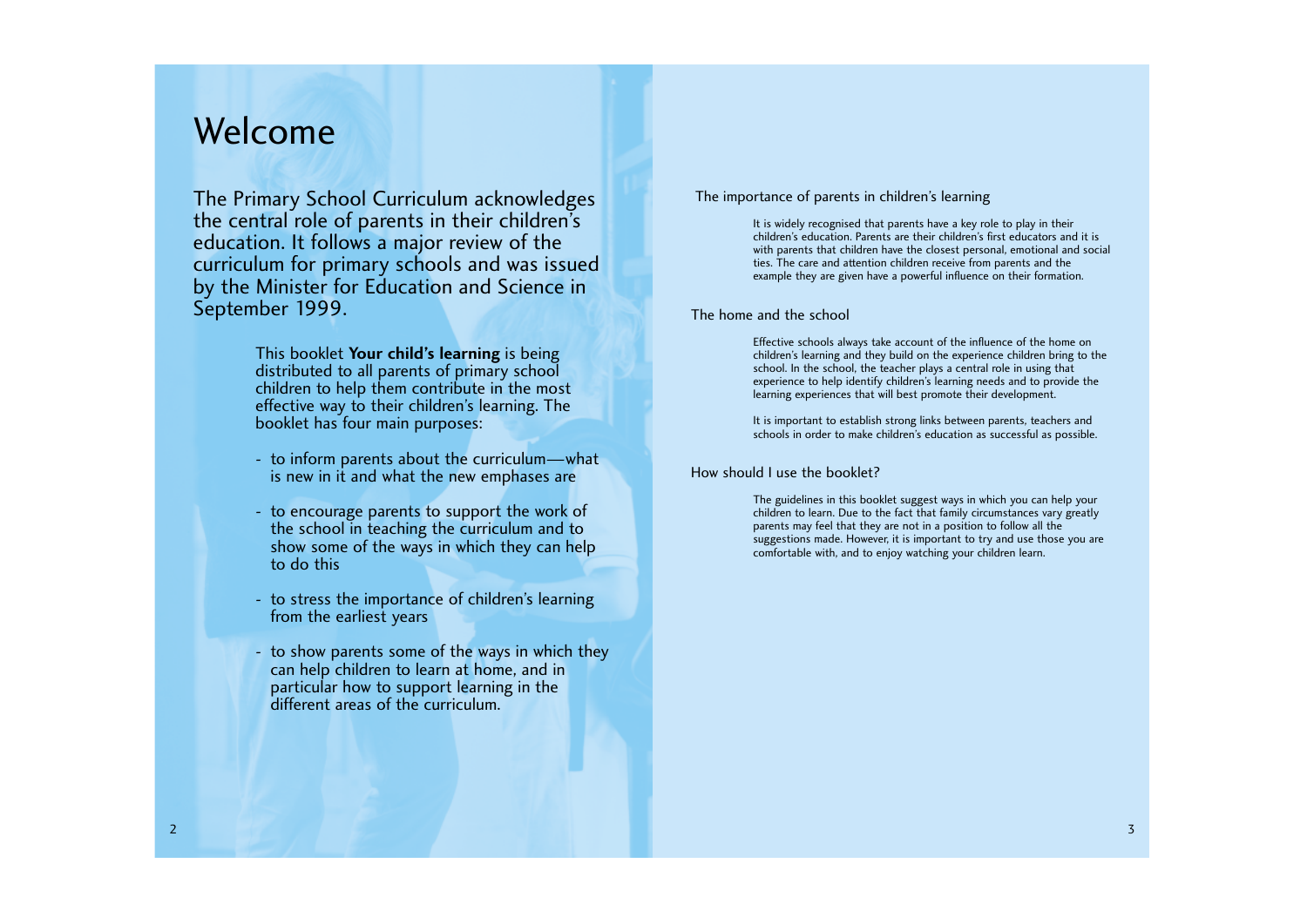This booklet **Your child's learning** is being distributed to all parents of primary school children to help them contribute in the most effective way to their children's learning. The booklet has four main purposes:

- to inform parents about the curriculum—what is new in it and what the new emphases are
- to encourage parents to support the work of the school in teaching the curriculum and to show some of the ways in which they can help to do this
- to stress the importance of children's learning from the earliest years
- to show parents some of the ways in which they can help children to learn at home, and in particular how to support learning in the different areas of the curriculum.

# Welcome

### The importance of parents in children's learning

It is widely recognised that parents have a key role to play in their children's education. Parents are their children's first educators and it is with parents that children have the closest personal, emotional and social ties. The care and attention children receive from parents and the example they are given have a powerful influence on their formation.

### The home and the school

Effective schools always take account of the influence of the home on children's learning and they build on the experience children bring to the school. In the school, the teacher plays a central role in using that experience to help identify children's learning needs and to provide the learning experiences that will best promote their development.

It is important to establish strong links between parents, teachers and schools in order to make children's education as successful as possible.

### How should I use the booklet?

The guidelines in this booklet suggest ways in which you can help your children to learn. Due to the fact that family circumstances vary greatly parents may feel that they are not in a position to follow all the suggestions made. However, it is important to try and use those you are comfortable with, and to enjoy watching your children learn.

The Primary School Curriculum acknowledges the central role of parents in their children's education. It follows a major review of the curriculum for primary schools and was issued by the Minister for Education and Science in September 1999.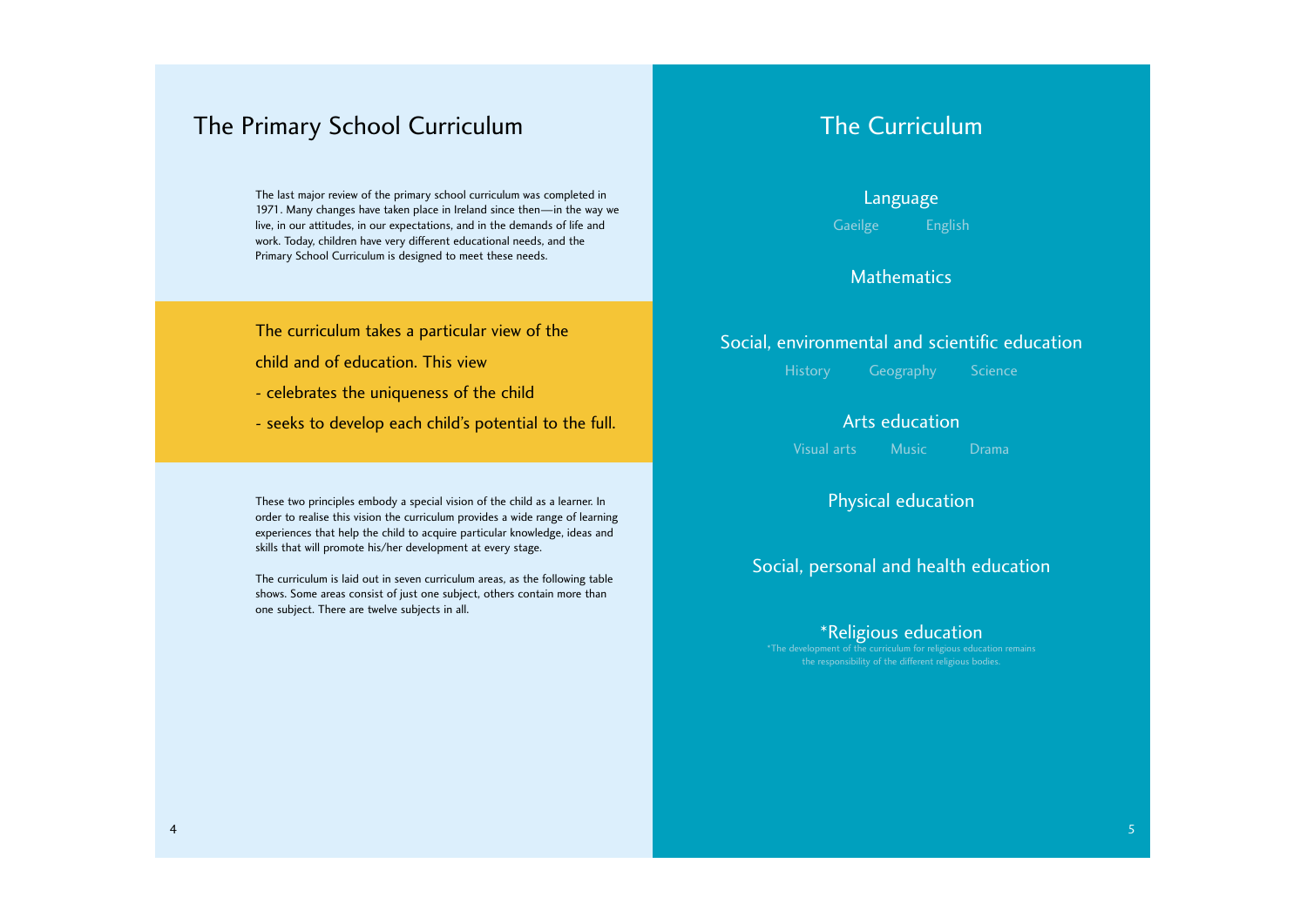The last major review of the primary school curriculum was completed in 1971. Many changes have taken place in Ireland since then—in the way we live, in our attitudes, in our expectations, and in the demands of life and work. Today, children have very different educational needs, and the Primary School Curriculum is designed to meet these needs.

The curriculum takes a particular view of the

child and of education. This view

- celebrates the uniqueness of the child
- seeks to develop each child's potential to the full.

These two principles embody a special vision of the child as a learner. In order to realise this vision the curriculum provides a wide range of learning experiences that help the child to acquire particular knowledge, ideas and skills that will promote his/her development at every stage.

The curriculum is laid out in seven curriculum areas, as the following table shows. Some areas consist of just one subject, others contain more than one subject. There are twelve subjects in all.

# The Primary School Curriculum

Language

Gaeilge English

### Mathematics

## Social, environmental and scientific education

History Geography Science

Arts education

Visual arts Music Drama

Physical education

Social, personal and health education

### \*Religious education

\*The development of the curriculum for religious education remains the responsibility of the different religious bodies.

# The Curriculum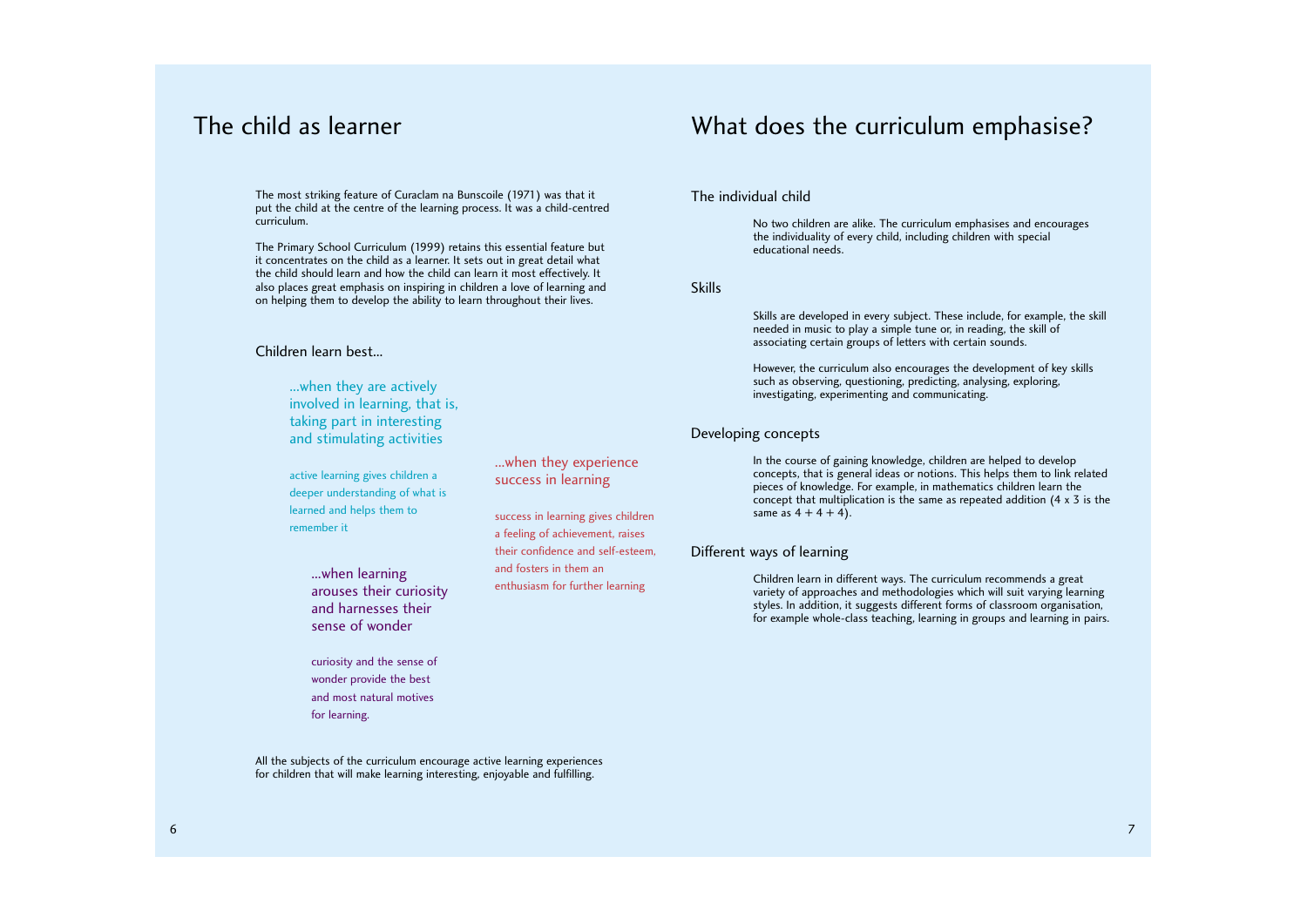The most striking feature of Curaclam na Bunscoile (1971) was that it put the child at the centre of the learning process. It was a child-centred curriculum.

The Primary School Curriculum (1999) retains this essential feature but it concentrates on the child as a learner. It sets out in great detail what the child should learn and how the child can learn it most effectively. It also places great emphasis on inspiring in children a love of learning and on helping them to develop the ability to learn throughout their lives.

### Children learn best...

... when learning ... when learning and tosters in them an arouses their curiosity and harnesses their sense of wonder

All the subjects of the curriculum encourage active learning experiences for children that will make learning interesting, enjoyable and fulfilling.

# The child as learner

...when they are actively involved in learning, that is, taking part in interesting and stimulating activities

active learning gives children a deeper understanding of what is learned and helps them to remember it

...when they experience

In the course of gaining knowledge, children are helped to develop concepts, that is general ideas or notions. This helps them to link related pieces of knowledge. For example, in mathematics children learn the concept that multiplication is the same as repeated addition (4 x 3 is the same as  $4 + 4 + 4$ ).

success in learning

success in learning gives children a feeling of achievement, raises their confidence and self-esteem,

and fosters in them an

curiosity and the sense of wonder provide the best and most natural motives for learning.

### The individual child

No two children are alike. The curriculum emphasises and encourages the individuality of every child, including children with special educational needs.

Skills

Skills are developed in every subject. These include, for example, the skill needed in music to play a simple tune or, in reading, the skill of associating certain groups of letters with certain sounds.

However, the curriculum also encourages the development of key skills such as observing, questioning, predicting, analysing, exploring, investigating, experimenting and communicating.

### Developing concepts

### Different ways of learning

Children learn in different ways. The curriculum recommends a great variety of approaches and methodologies which will suit varying learning styles. In addition, it suggests different forms of classroom organisation, for example whole-class teaching, learning in groups and learning in pairs.

# What does the curriculum emphasise?

6 7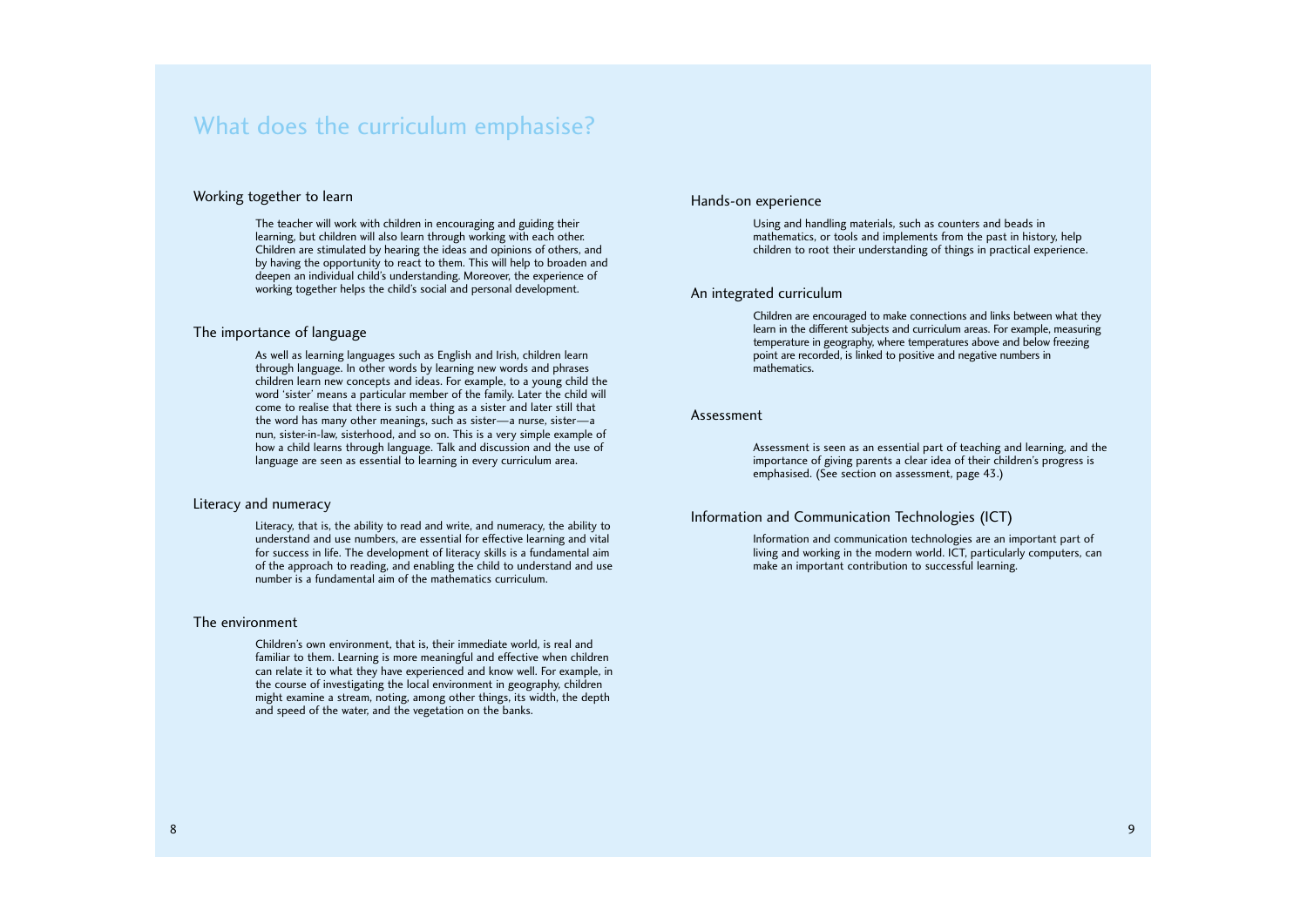8 9

### Working together to learn

The teacher will work with children in encouraging and guiding their learning, but children will also learn through working with each other. Children are stimulated by hearing the ideas and opinions of others, and by having the opportunity to react to them. This will help to broaden and deepen an individual child's understanding. Moreover, the experience of working together helps the child's social and personal development.

### The importance of language

As well as learning languages such as English and Irish, children learn through language. In other words by learning new words and phrases children learn new concepts and ideas. For example, to a young child the word 'sister' means a particular member of the family. Later the child will come to realise that there is such a thing as a sister and later still that the word has many other meanings, such as sister—a nurse, sister—a nun, sister-in-law, sisterhood, and so on. This is a very simple example of how a child learns through language. Talk and discussion and the use of language are seen as essential to learning in every curriculum area.

#### Literacy and numeracy

Literacy, that is, the ability to read and write, and numeracy, the ability to understand and use numbers, are essential for effective learning and vital for success in life. The development of literacy skills is a fundamental aim of the approach to reading, and enabling the child to understand and use number is a fundamental aim of the mathematics curriculum.

### The environment

Children's own environment, that is, their immediate world, is real and familiar to them. Learning is more meaningful and effective when children can relate it to what they have experienced and know well. For example, in the course of investigating the local environment in geography, children might examine a stream, noting, among other things, its width, the depth and speed of the water, and the vegetation on the banks.

### Hands-on experience

Using and handling materials, such as counters and beads in mathematics, or tools and implements from the past in history, help children to root their understanding of things in practical experience.

### An integrated curriculum

Children are encouraged to make connections and links between what they learn in the different subjects and curriculum areas. For example, measuring temperature in geography, where temperatures above and below freezing point are recorded, is linked to positive and negative numbers in mathematics.

#### Assessment

Assessment is seen as an essential part of teaching and learning, and the importance of giving parents a clear idea of their children's progress is emphasised. (See section on assessment, page 43.)

### Information and Communication Technologies (ICT)

Information and communication technologies are an important part of living and working in the modern world. ICT, particularly computers, can make an important contribution to successful learning.

# What does the curriculum emphasise?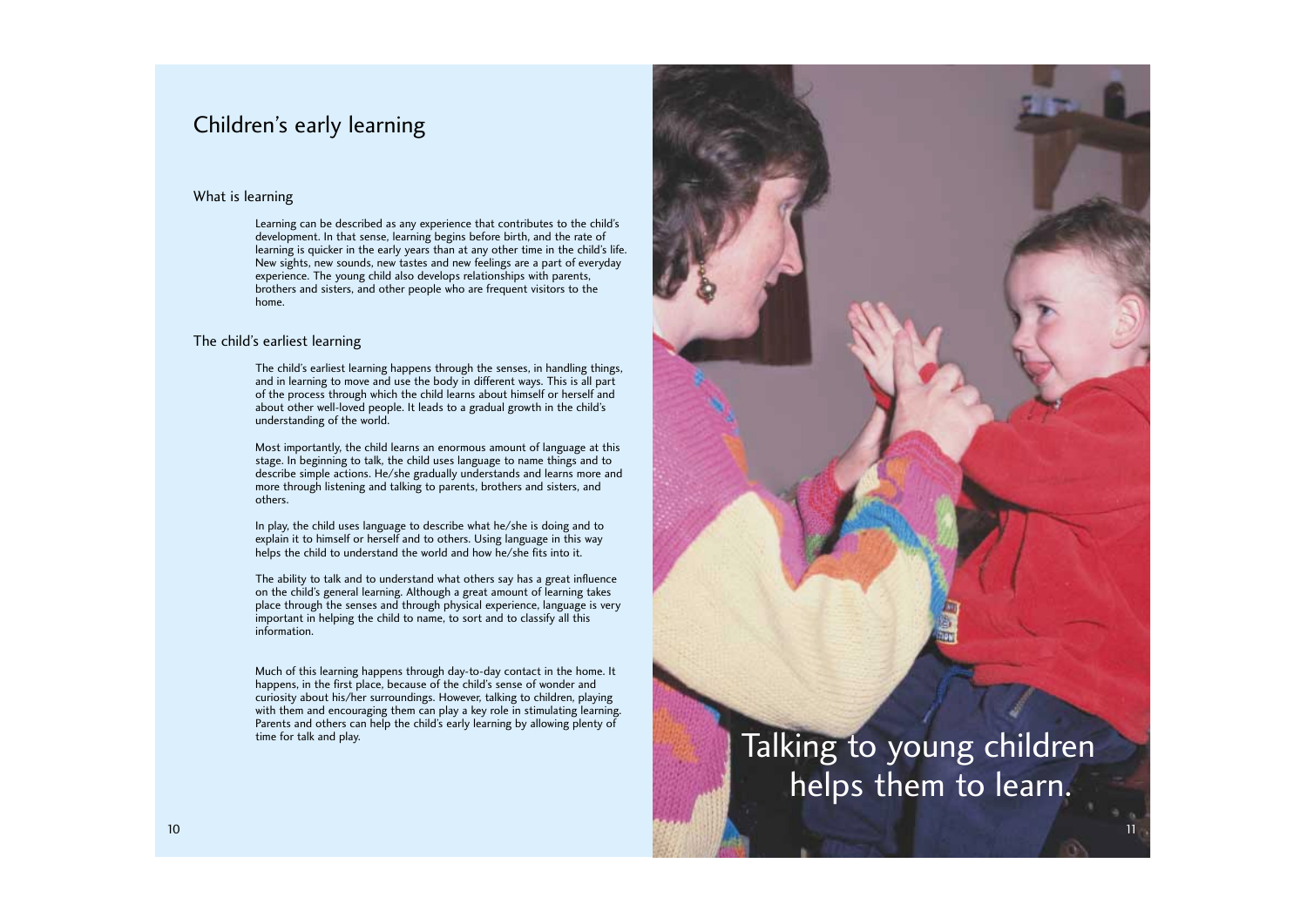11

# Talking to young children helps them to learn.

### What is learning

Learning can be described as any experience that contributes to the child's development. In that sense, learning begins before birth, and the rate of learning is quicker in the early years than at any other time in the child's life. New sights, new sounds, new tastes and new feelings are a part of everyday experience. The young child also develops relationships with parents, brothers and sisters, and other people who are frequent visitors to the home.

### The child's earliest learning

The child's earliest learning happens through the senses, in handling things, and in learning to move and use the body in different ways. This is all part of the process through which the child learns about himself or herself and about other well-loved people. It leads to a gradual growth in the child's understanding of the world.

Most importantly, the child learns an enormous amount of language at this stage. In beginning to talk, the child uses language to name things and to describe simple actions. He/she gradually understands and learns more and more through listening and talking to parents, brothers and sisters, and others.

In play, the child uses language to describe what he/she is doing and to explain it to himself or herself and to others. Using language in this way helps the child to understand the world and how he/she fits into it.

The ability to talk and to understand what others say has a great influence on the child's general learning. Although a great amount of learning takes place through the senses and through physical experience, language is very important in helping the child to name, to sort and to classify all this information.

Much of this learning happens through day-to-day contact in the home. It happens, in the first place, because of the child's sense of wonder and curiosity about his/her surroundings. However, talking to children, playing with them and encouraging them can play a key role in stimulating learning. Parents and others can help the child's early learning by allowing plenty of time for talk and play.

# Children's early learning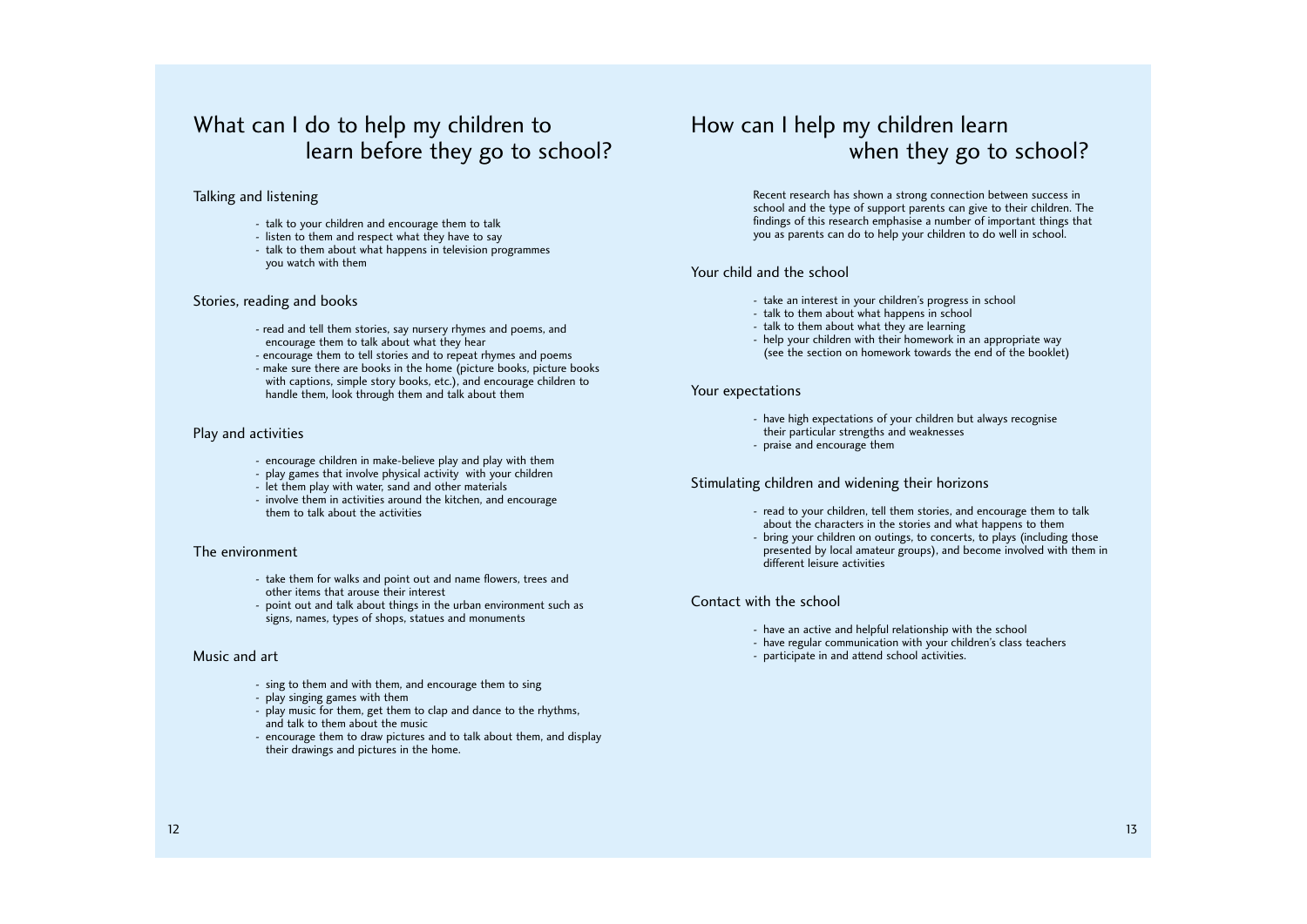# How can I help my children learn when they go to school?

# What can I do to help my children to learn before they go to school?

### Talking and listening

- talk to your children and encourage them to talk
- listen to them and respect what they have to say
- talk to them about what happens in television programmes you watch with them

### Stories, reading and books

- read and tell them stories, say nursery rhymes and poems, and encourage them to talk about what they hear
- encourage them to tell stories and to repeat rhymes and poems
- make sure there are books in the home (picture books, picture books with captions, simple story books, etc.), and encourage children to handle them, look through them and talk about them

### Play and activities

- encourage children in make-believe play and play with them
- play games that involve physical activity with your children
- let them play with water, sand and other materials
- involve them in activities around the kitchen, and encourage them to talk about the activities

### The environment

- take them for walks and point out and name flowers, trees and other items that arouse their interest
- point out and talk about things in the urban environment such as signs, names, types of shops, statues and monuments

### Music and art

- sing to them and with them, and encourage them to sing
- play singing games with them
- play music for them, get them to clap and dance to the rhythms, and talk to them about the music
- encourage them to draw pictures and to talk about them, and display their drawings and pictures in the home.

Recent research has shown a strong connection between success in school and the type of support parents can give to their children. The findings of this research emphasise a number of important things that you as parents can do to help your children to do well in school.

### Your child and the school

- take an interest in your children's progress in school
- talk to them about what happens in school
- talk to them about what they are learning
- help your children with their homework in an appropriate way (see the section on homework towards the end of the booklet)

### Your expectations

- have high expectations of your children but always recognise their particular strengths and weaknesses
- praise and encourage them

### Stimulating children and widening their horizons

- read to your children, tell them stories, and encourage them to talk about the characters in the stories and what happens to them
- bring your children on outings, to concerts, to plays (including those presented by local amateur groups), and become involved with them in different leisure activities

### Contact with the school

- have an active and helpful relationship with the school
- have regular communication with your children's class teachers
- participate in and attend school activities.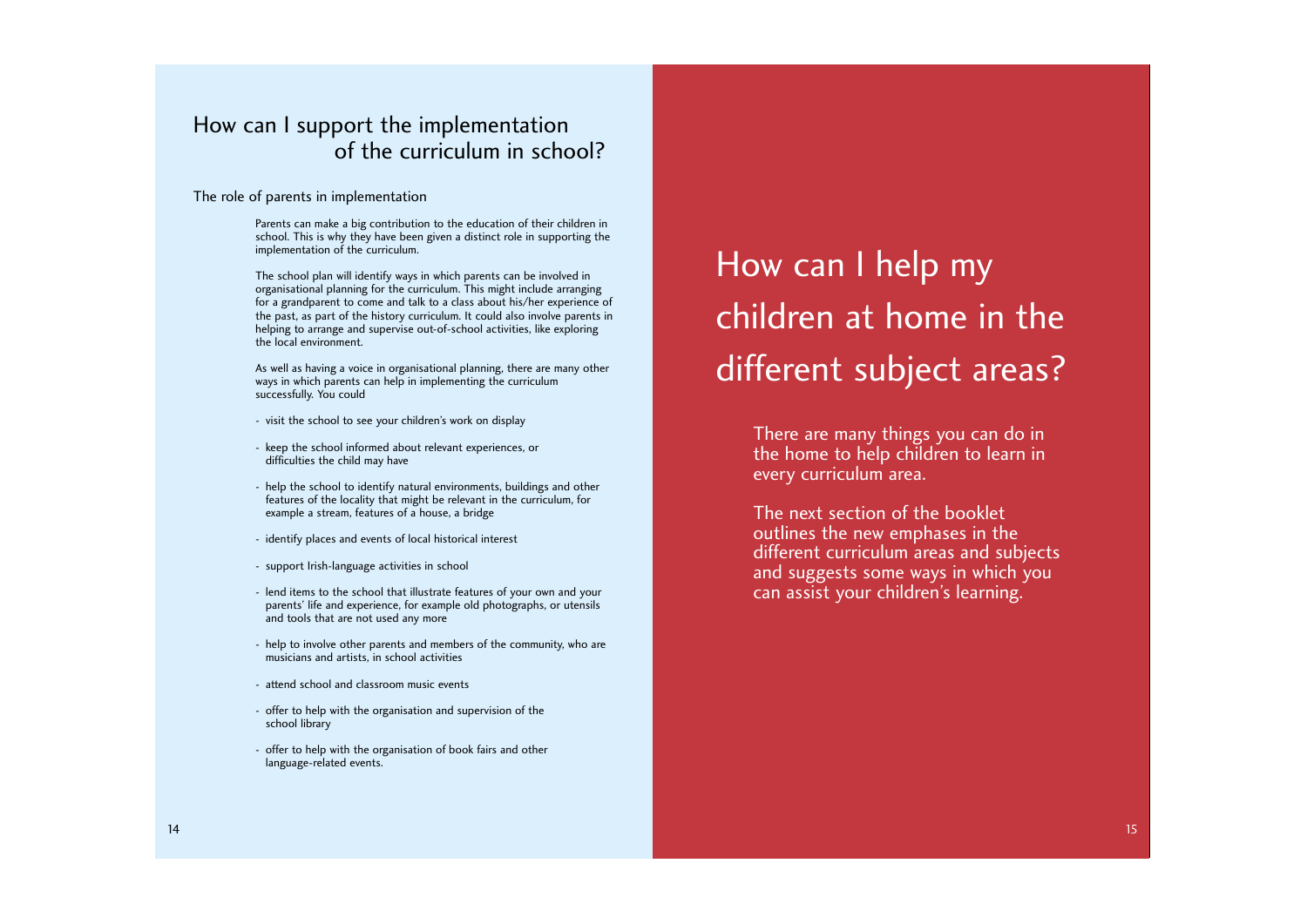# How can I help my children at home in the different subject areas?

### The role of parents in implementation

Parents can make a big contribution to the education of their children in school. This is why they have been given a distinct role in supporting the implementation of the curriculum.

The school plan will identify ways in which parents can be involved in organisational planning for the curriculum. This might include arranging for a grandparent to come and talk to a class about his/her experience of the past, as part of the history curriculum. It could also involve parents in helping to arrange and supervise out-of-school activities, like exploring the local environment.

As well as having a voice in organisational planning, there are many other ways in which parents can help in implementing the curriculum successfully. You could

- visit the school to see your children's work on display
- keep the school informed about relevant experiences, or difficulties the child may have
- help the school to identify natural environments, buildings and other features of the locality that might be relevant in the curriculum, for example a stream, features of a house, a bridge
- identify places and events of local historical interest
- support Irish-language activities in school
- lend items to the school that illustrate features of your own and your parents' life and experience, for example old photographs, or utensils and tools that are not used any more
- help to involve other parents and members of the community, who are musicians and artists, in school activities
- attend school and classroom music events
- offer to help with the organisation and supervision of the school library
- offer to help with the organisation of book fairs and other language-related events.

There are many things you can do in the home to help children to learn in every curriculum area.

The next section of the booklet outlines the new emphases in the different curriculum areas and subjects and suggests some ways in which you can assist your children's learning.

# How can I support the implementation of the curriculum in school?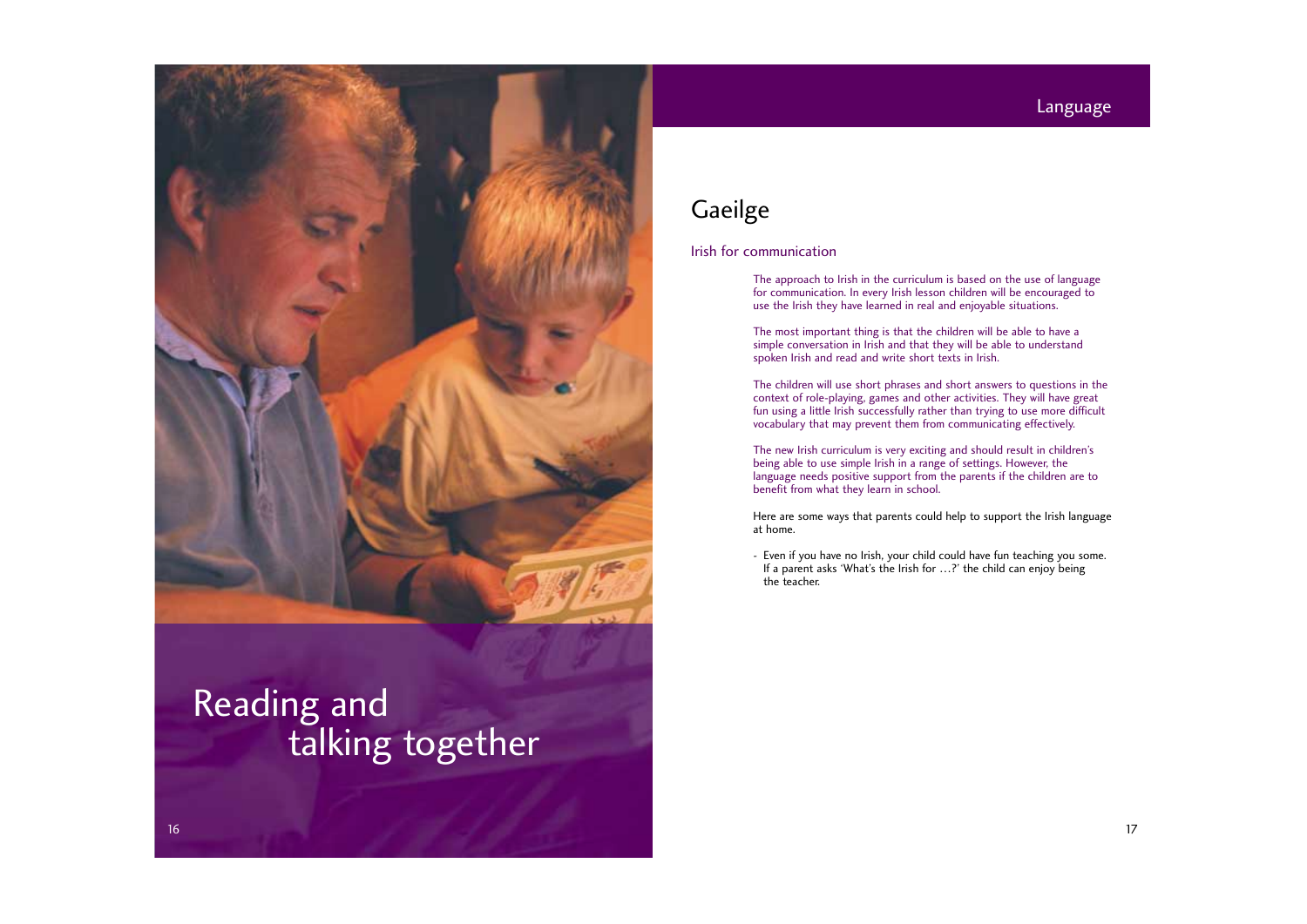

# Reading and talking together

# **Gaeilge**

### Language

### Irish for communication

The approach to Irish in the curriculum is based on the use of language for communication. In every Irish lesson children will be encouraged to use the Irish they have learned in real and enjoyable situations.

The most important thing is that the children will be able to have a simple conversation in Irish and that they will be able to understand spoken Irish and read and write short texts in Irish.

The children will use short phrases and short answers to questions in the context of role-playing, games and other activities. They will have great fun using a little Irish successfully rather than trying to use more difficult vocabulary that may prevent them from communicating effectively.

The new Irish curriculum is very exciting and should result in children's being able to use simple Irish in a range of settings. However, the language needs positive support from the parents if the children are to benefit from what they learn in school.

Here are some ways that parents could help to support the Irish language at home.

- Even if you have no Irish, your child could have fun teaching you some. If a parent asks 'What's the Irish for …?' the child can enjoy being the teacher.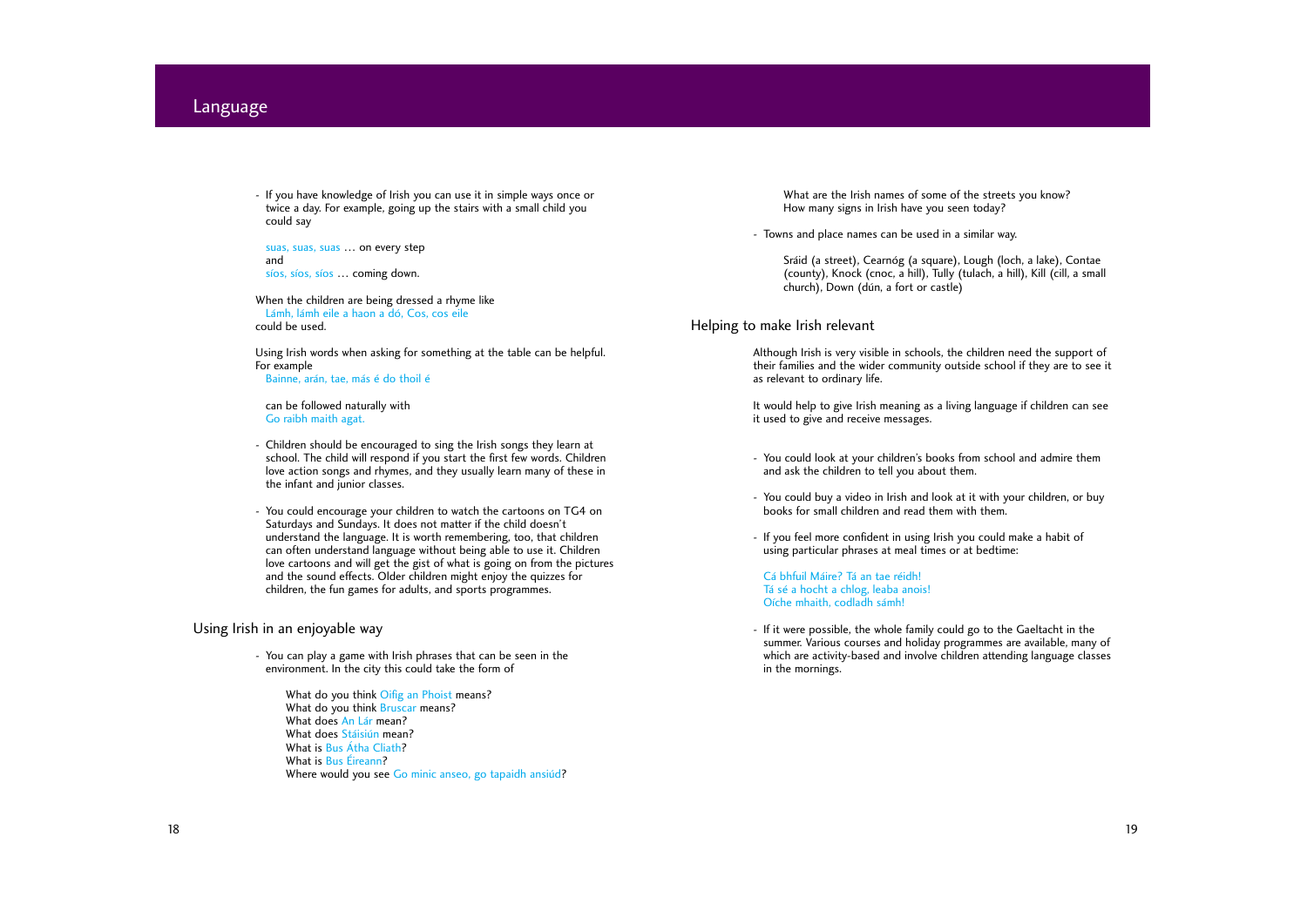- If you have knowledge of Irish you can use it in simple ways once or twice a day. For example, going up the stairs with a small child you could say

suas, suas, suas … on every step and síos, síos, síos … coming down.

When the children are being dressed a rhyme like Lámh, lámh eile a haon a dó, Cos, cos eile could be used.

Using Irish words when asking for something at the table can be helpful. For example Bainne, arán, tae, más é do thoil é

can be followed naturally with Go raibh maith agat.

- You can play a game with Irish phrases that can be seen in the environment. In the city this could take the form of
	- What do you think Oifig an Phoist means? What do you think **Bruscar** means? What does An Lár mean? What does Stáisiún mean? What is Bus Átha Cliath? What is Bus Éireann? Where would you see Go minic anseo, go tapaidh ansiúd?
- Children should be encouraged to sing the Irish songs they learn at school. The child will respond if you start the first few words. Children love action songs and rhymes, and they usually learn many of these in the infant and junior classes.
- You could encourage your children to watch the cartoons on TG4 on Saturdays and Sundays. It does not matter if the child doesn't understand the language. It is worth remembering, too, that children can often understand language without being able to use it. Children love cartoons and will get the gist of what is going on from the pictures and the sound effects. Older children might enjoy the quizzes for children, the fun games for adults, and sports programmes.

### Using Irish in an enjoyable way

What are the Irish names of some of the streets you know? How many signs in Irish have you seen today?

- Towns and place names can be used in a similar way.

Sráid (a street), Cearnóg (a square), Lough (loch, a lake), Contae (county), Knock (cnoc, a hill), Tully (tulach, a hill), Kill (cill, a small church), Down (dún, a fort or castle)

### Helping to make Irish relevant

Although Irish is very visible in schools, the children need the support of their families and the wider community outside school if they are to see it as relevant to ordinary life.

It would help to give Irish meaning as a living language if children can see it used to give and receive messages.

- You could look at your children's books from school and admire them and ask the children to tell you about them.
- You could buy a video in Irish and look at it with your children, or buy books for small children and read them with them.
- If you feel more confident in using Irish you could make a habit of using particular phrases at meal times or at bedtime:

Cá bhfuil Máire? Tá an tae réidh! Tá sé a hocht a chlog, leaba anois! Oíche mhaith, codladh sámh!

- If it were possible, the whole family could go to the Gaeltacht in the summer. Various courses and holiday programmes are available, many of which are activity-based and involve children attending language classes in the mornings.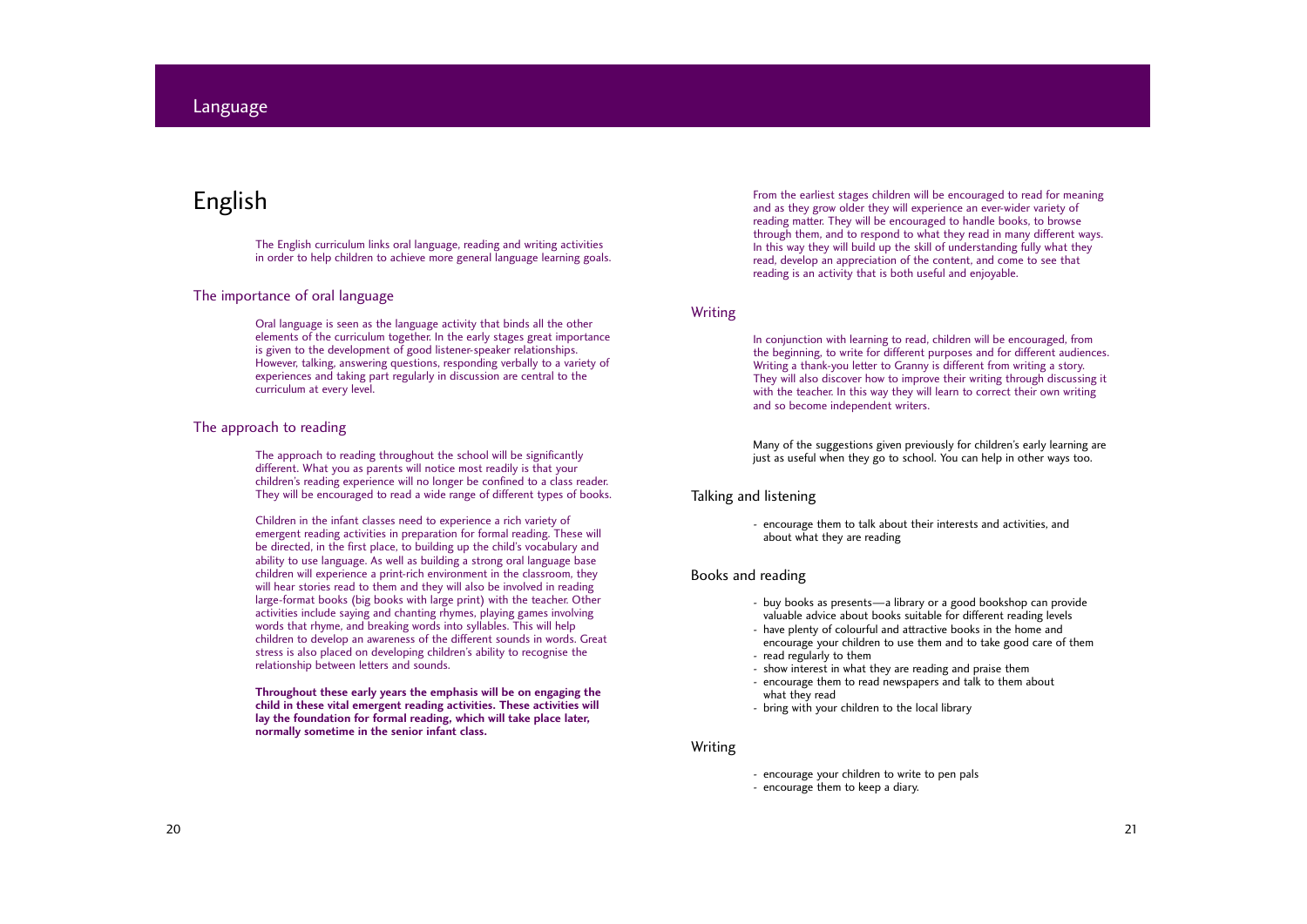# English

The English curriculum links oral language, reading and writing activities in order to help children to achieve more general language learning goals.

### The importance of oral language

Oral language is seen as the language activity that binds all the other elements of the curriculum together. In the early stages great importance is given to the development of good listener-speaker relationships. However, talking, answering questions, responding verbally to a variety of experiences and taking part regularly in discussion are central to the curriculum at every level.

### The approach to reading

The approach to reading throughout the school will be significantly different. What you as parents will notice most readily is that your children's reading experience will no longer be confined to a class reader. They will be encouraged to read a wide range of different types of books.

Children in the infant classes need to experience a rich variety of emergent reading activities in preparation for formal reading. These will be directed, in the first place, to building up the child's vocabulary and ability to use language. As well as building a strong oral language base children will experience a print-rich environment in the classroom, they will hear stories read to them and they will also be involved in reading large-format books (big books with large print) with the teacher. Other activities include saying and chanting rhymes, playing games involving words that rhyme, and breaking words into syllables. This will help children to develop an awareness of the different sounds in words. Great stress is also placed on developing children's ability to recognise the relationship between letters and sounds.

**Throughout these early years the emphasis will be on engaging the child in these vital emergent reading activities. These activities will lay the foundation for formal reading, which will take place later, normally sometime in the senior infant class.**

### Language

From the earliest stages children will be encouraged to read for meaning and as they grow older they will experience an ever-wider variety of reading matter. They will be encouraged to handle books, to browse through them, and to respond to what they read in many different ways. In this way they will build up the skill of understanding fully what they read, develop an appreciation of the content, and come to see that reading is an activity that is both useful and enjoyable.

### Writing

In conjunction with learning to read, children will be encouraged, from the beginning, to write for different purposes and for different audiences. Writing a thank-you letter to Granny is different from writing a story. They will also discover how to improve their writing through discussing it with the teacher. In this way they will learn to correct their own writing and so become independent writers.

Many of the suggestions given previously for children's early learning are just as useful when they go to school. You can help in other ways too.

### Talking and listening

- encourage them to talk about their interests and activities, and about what they are reading

### Books and reading

- buy books as presents—a library or a good bookshop can provide valuable advice about books suitable for different reading levels
- have plenty of colourful and attractive books in the home and
- encourage your children to use them and to take good care of them - read regularly to them
- 
- show interest in what they are reading and praise them - encourage them to read newspapers and talk to them about what they read
- bring with your children to the local library

### Writing

- encourage your children to write to pen pals
- encourage them to keep a diary.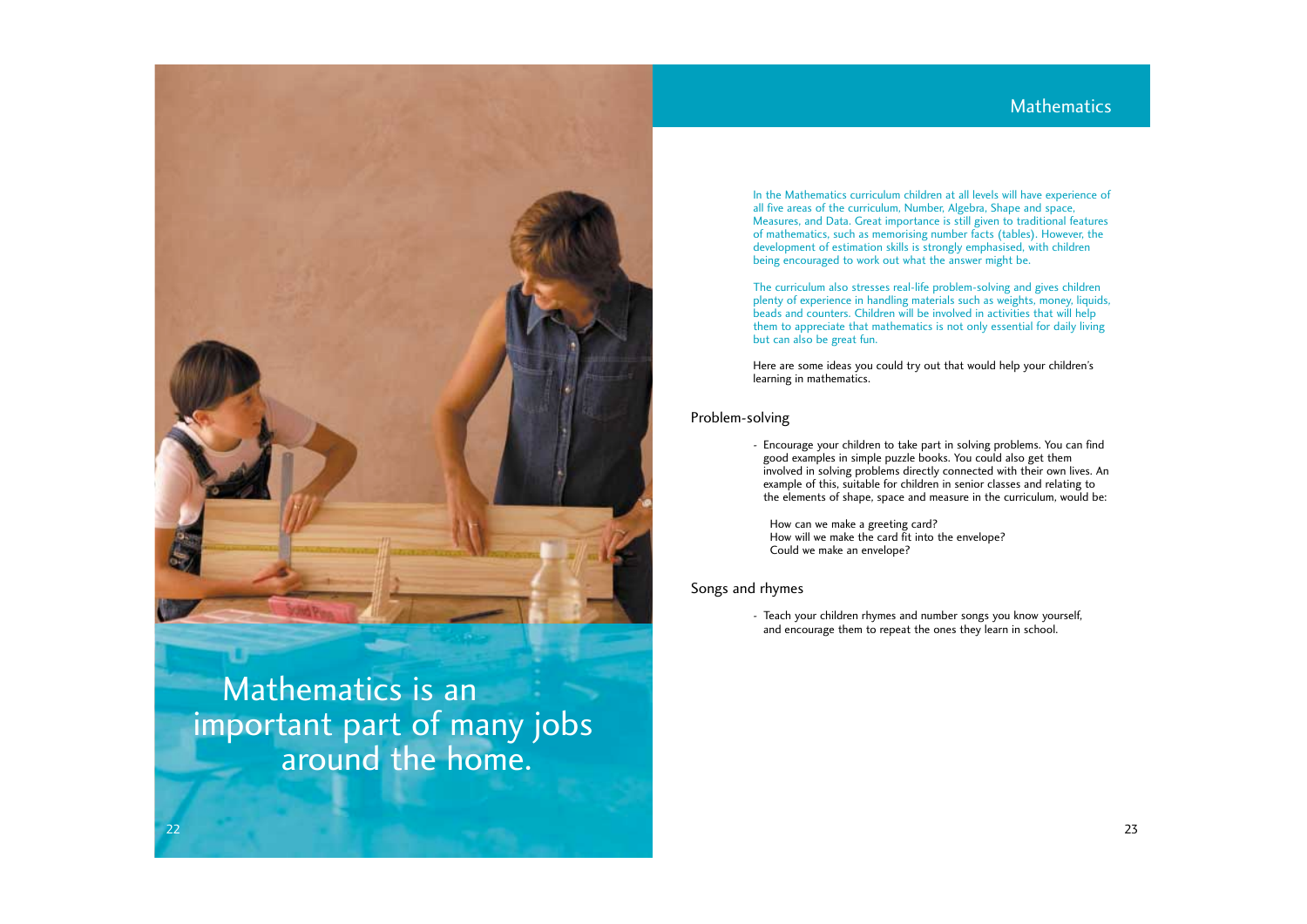In the Mathematics curriculum children at all levels will have experience of all five areas of the curriculum, Number, Algebra, Shape and space, Measures, and Data. Great importance is still given to traditional features of mathematics, such as memorising number facts (tables). However, the development of estimation skills is strongly emphasised, with children being encouraged to work out what the answer might be.

The curriculum also stresses real-life problem-solving and gives children plenty of experience in handling materials such as weights, money, liquids, beads and counters. Children will be involved in activities that will help them to appreciate that mathematics is not only essential for daily living but can also be great fun.

Here are some ideas you could try out that would help your children's learning in mathematics.

### Problem-solving

- Encourage your children to take part in solving problems. You can find good examples in simple puzzle books. You could also get them involved in solving problems directly connected with their own lives. An example of this, suitable for children in senior classes and relating to the elements of shape, space and measure in the curriculum, would be:

How can we make a greeting card? How will we make the card fit into the envelope? Could we make an envelope?

### Songs and rhymes

- Teach your children rhymes and number songs you know yourself, and encourage them to repeat the ones they learn in school.

# **Mathematics**



Mathematics is an important part of many jobs around the home.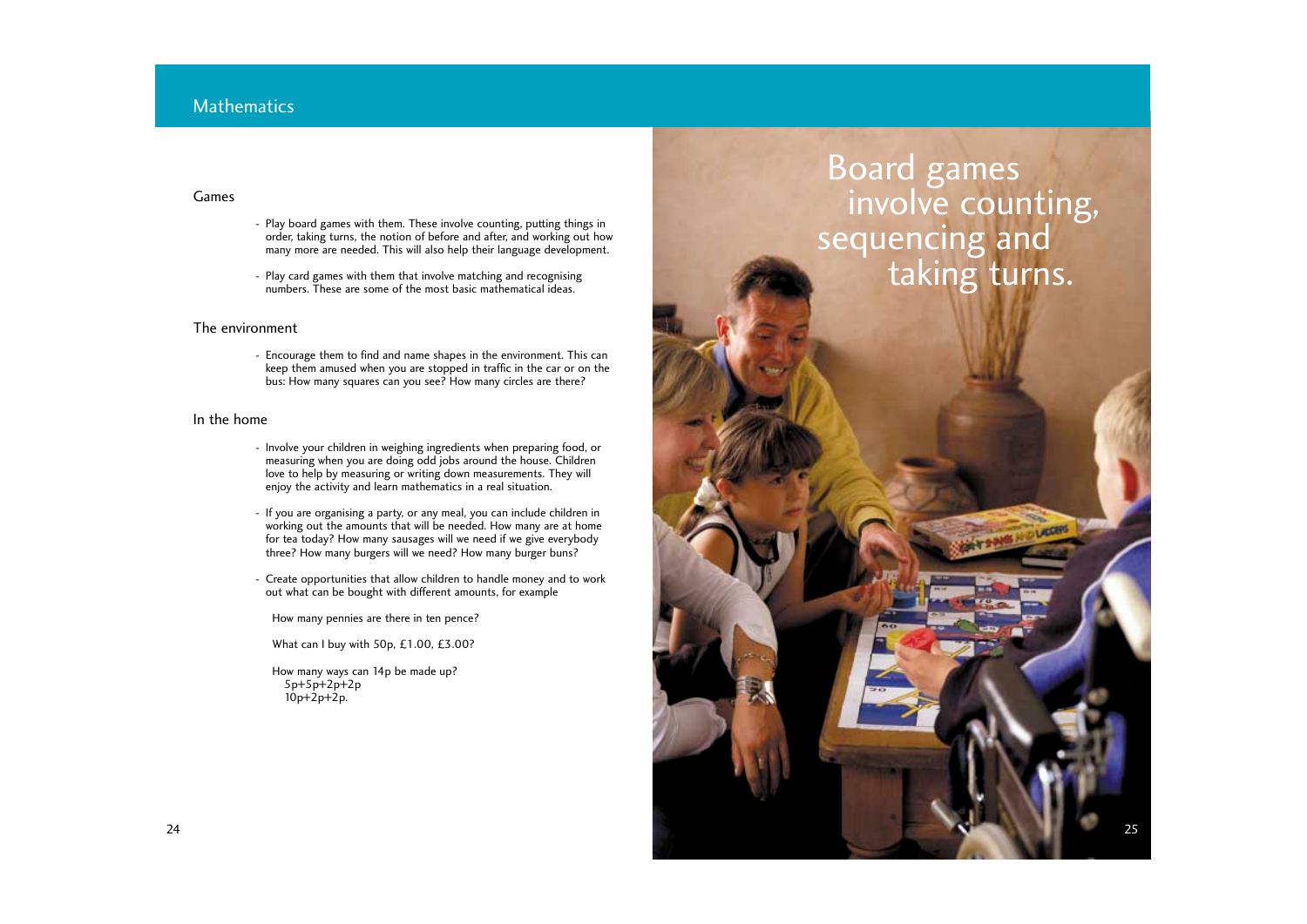### **Mathematics**

### Games

- Play board games with them. These involve counting, putting things in order, taking turns, the notion of before and after, and working out how many more are needed. This will also help their language development.
- Play card games with them that involve matching and recognising numbers. These are some of the most basic mathematical ideas.

### The environment

- Encourage them to find and name shapes in the environment. This can keep them amused when you are stopped in traffic in the car or on the bus: How many squares can you see? How many circles are there?

### In the home

How many ways can 14p be made up? 5p+5p+2p+2p  $10p+2p+2p$ .



- Involve your children in weighing ingredients when preparing food, or measuring when you are doing odd jobs around the house. Children love to help by measuring or writing down measurements. They will enjoy the activity and learn mathematics in a real situation.
- If you are organising a party, or any meal, you can include children in working out the amounts that will be needed. How many are at home for tea today? How many sausages will we need if we give everybody three? How many burgers will we need? How many burger buns?
- Create opportunities that allow children to handle money and to work out what can be bought with different amounts, for example

How many pennies are there in ten pence?

What can I buy with 50p, £1.00, £3.00?

25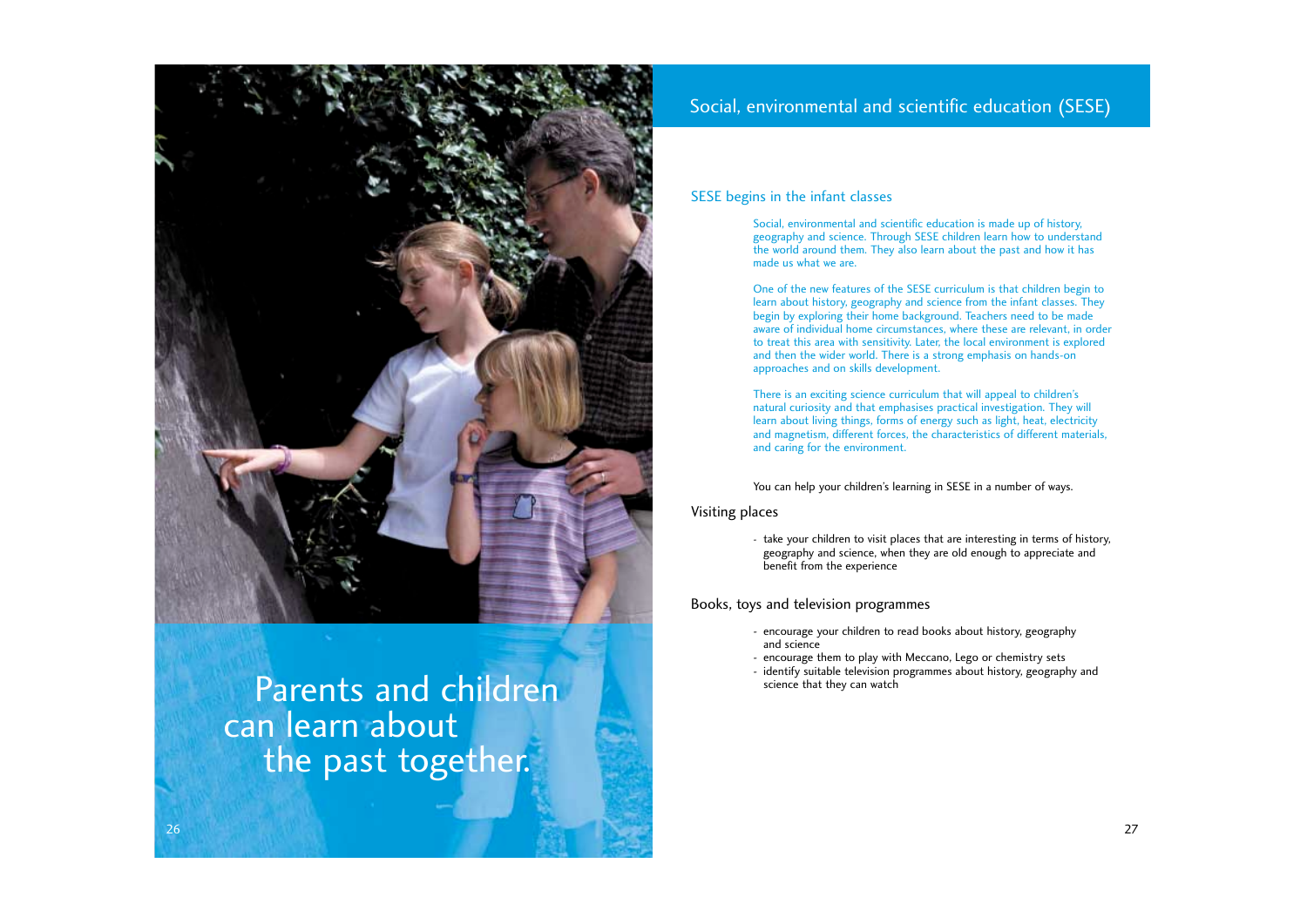### SESE begins in the infant classes

Social, environmental and scientific education is made up of history, geography and science. Through SESE children learn how to understand the world around them. They also learn about the past and how it has made us what we are.

One of the new features of the SESE curriculum is that children begin to learn about history, geography and science from the infant classes. They begin by exploring their home background. Teachers need to be made aware of individual home circumstances, where these are relevant, in order to treat this area with sensitivity. Later, the local environment is explored and then the wider world. There is a strong emphasis on hands-on approaches and on skills development.



# Parents and children can learn about the past together.

There is an exciting science curriculum that will appeal to children's natural curiosity and that emphasises practical investigation. They will learn about living things, forms of energy such as light, heat, electricity and magnetism, different forces, the characteristics of different materials, and caring for the environment.

You can help your children's learning in SESE in a number of ways.

### Visiting places

- take your children to visit places that are interesting in terms of history, geography and science, when they are old enough to appreciate and benefit from the experience

### Books, toys and television programmes

- encourage your children to read books about history, geography and science
- encourage them to play with Meccano, Lego or chemistry sets
- identify suitable television programmes about history, geography and science that they can watch

# Social, environmental and scientific education (SESE)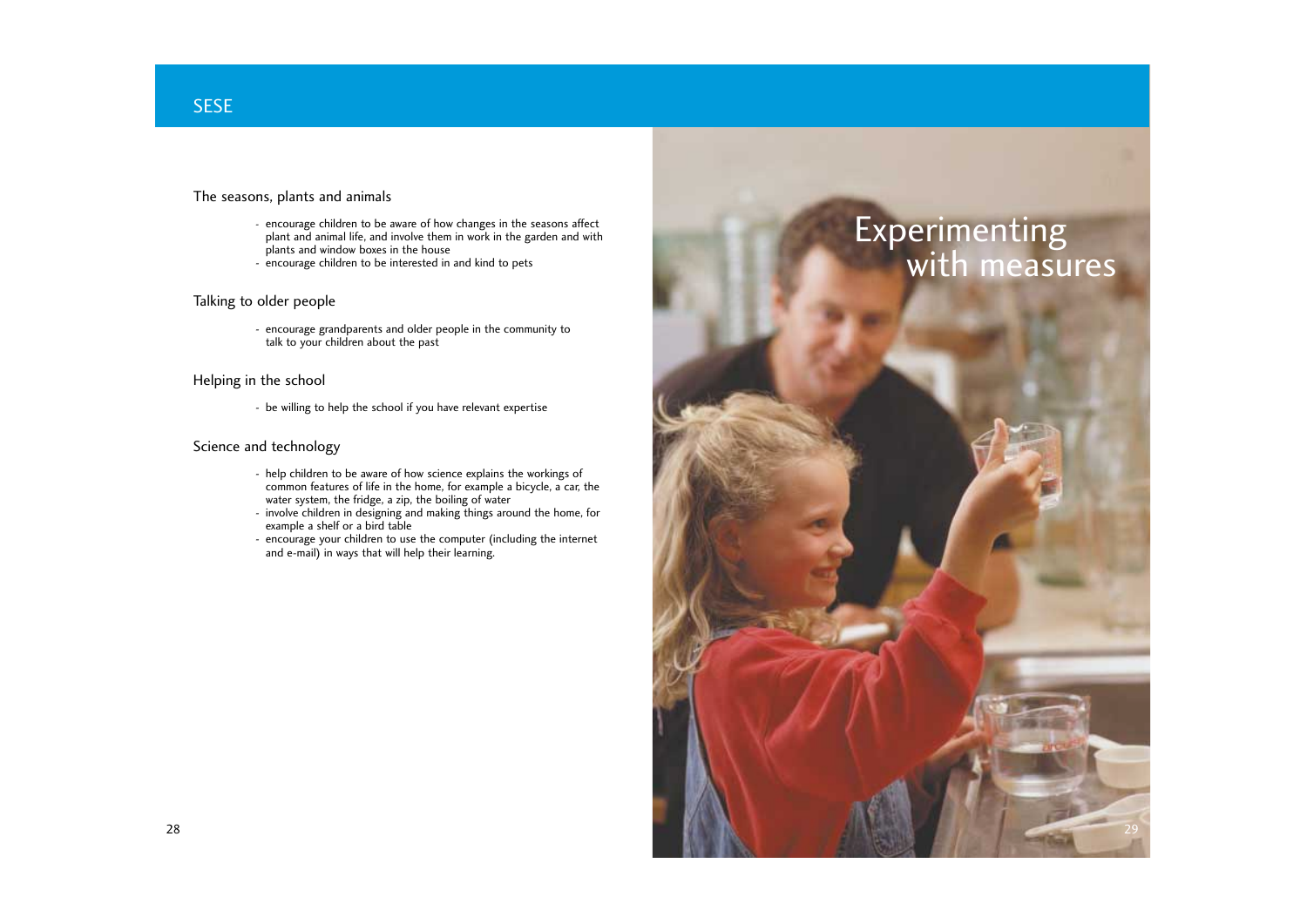

## SESE

### The seasons, plants and animals

- encourage children to be aware of how changes in the seasons affect plant and animal life, and involve them in work in the garden and with plants and window boxes in the house
- encourage children to be interested in and kind to pets

### Talking to older people

- encourage grandparents and older people in the community to talk to your children about the past

### Helping in the school

- be willing to help the school if you have relevant expertise

### Science and technology

- help children to be aware of how science explains the workings of common features of life in the home, for example a bicycle, a car, the water system, the fridge, a zip, the boiling of water
- involve children in designing and making things around the home, for example a shelf or a bird table
- encourage your children to use the computer (including the internet and e-mail) in ways that will help their learning.

# Experimenting<br>with measures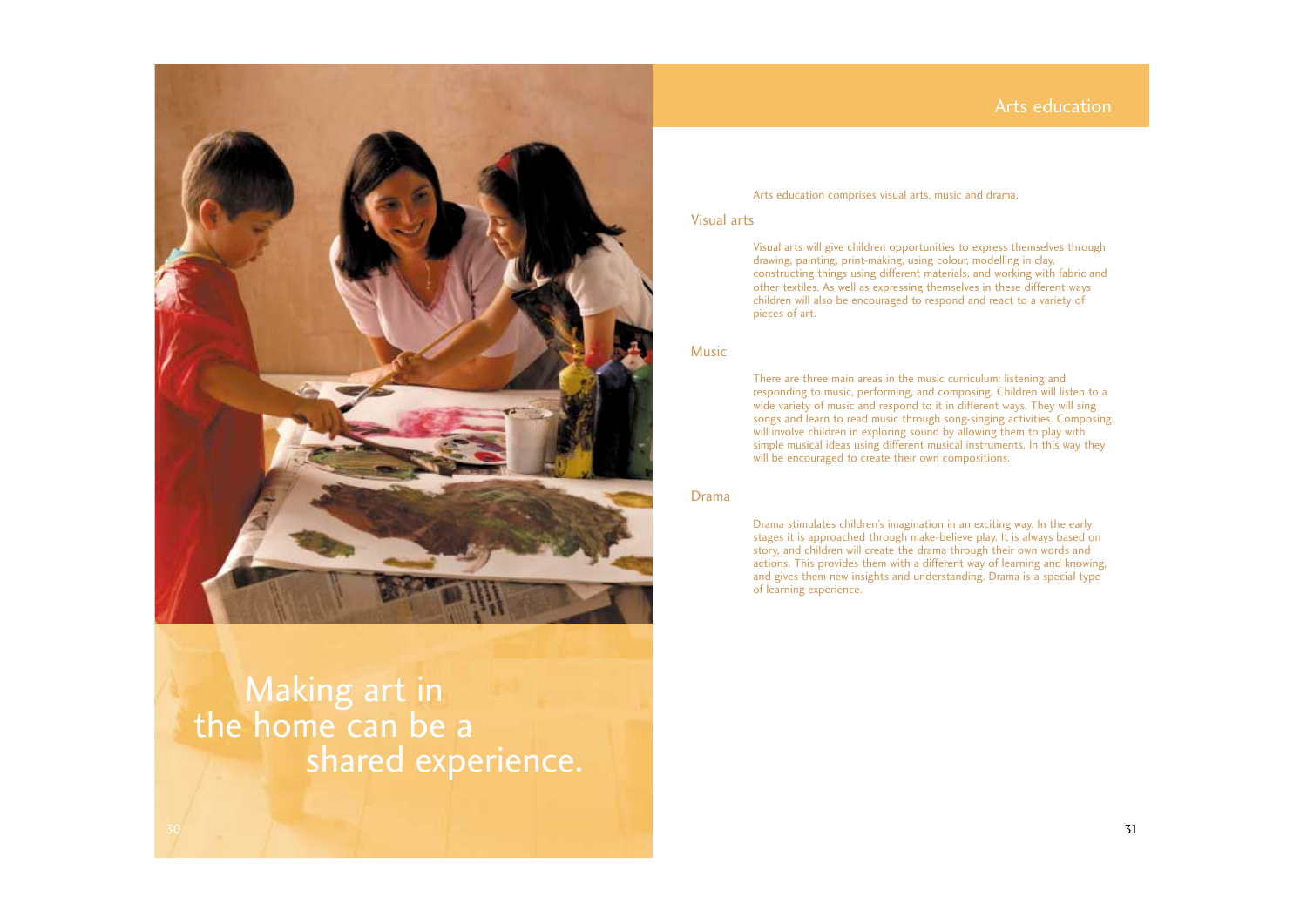### Arts education comprises visual arts, music and drama.

### Visual arts

Visual arts will give children opportunities to express themselves through drawing, painting, print-making, using colour, modelling in clay, constructing things using different materials, and working with fabric and other textiles. As well as expressing themselves in these different ways children will also be encouraged to respond and react to a variety of pieces of art.

### Music



There are three main areas in the music curriculum: listening and responding to music, performing, and composing. Children will listen to a wide variety of music and respond to it in different ways. They will sing songs and learn to read music through song-singing activities. Composing will involve children in exploring sound by allowing them to play with simple musical ideas using different musical instruments. In this way they will be encouraged to create their own compositions.

# Making art in<br>the home can be a shared experience.

### Drama

Drama stimulates children's imagination in an exciting way. In the early stages it is approached through make-believe play. It is always based on story, and children will create the drama through their own words and actions. This provides them with a different way of learning and knowing, and gives them new insights and understanding. Drama is a special type of learning experience.

## Arts education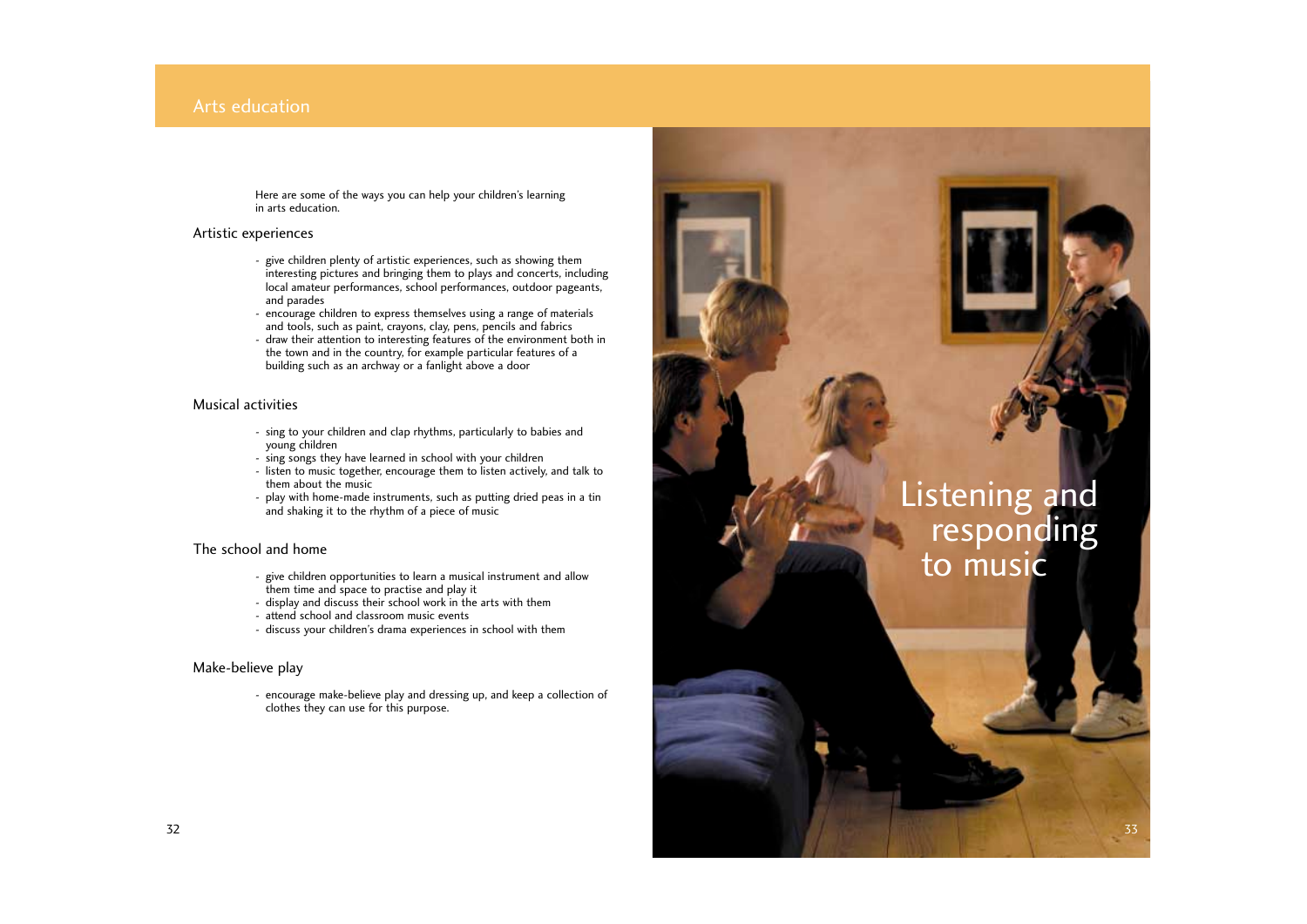33

Here are some of the ways you can help your children's learning in arts education.

### Artistic experiences

- give children plenty of artistic experiences, such as showing them interesting pictures and bringing them to plays and concerts, including local amateur performances, school performances, outdoor pageants, and parades
- encourage children to express themselves using a range of materials and tools, such as paint, crayons, clay, pens, pencils and fabrics
- draw their attention to interesting features of the environment both in the town and in the country, for example particular features of a building such as an archway or a fanlight above a door

### Musical activities

- sing to your children and clap rhythms, particularly to babies and young children
- sing songs they have learned in school with your children
- listen to music together, encourage them to listen actively, and talk to them about the music
- play with home-made instruments, such as putting dried peas in a tin and shaking it to the rhythm of a piece of music

### The school and home

- give children opportunities to learn a musical instrument and allow them time and space to practise and play it
- display and discuss their school work in the arts with them
- attend school and classroom music events
- discuss your children's drama experiences in school with them

### Make-believe play

- encourage make-believe play and dressing up, and keep a collection of clothes they can use for this purpose.

### Arts education

# Listening and responding to music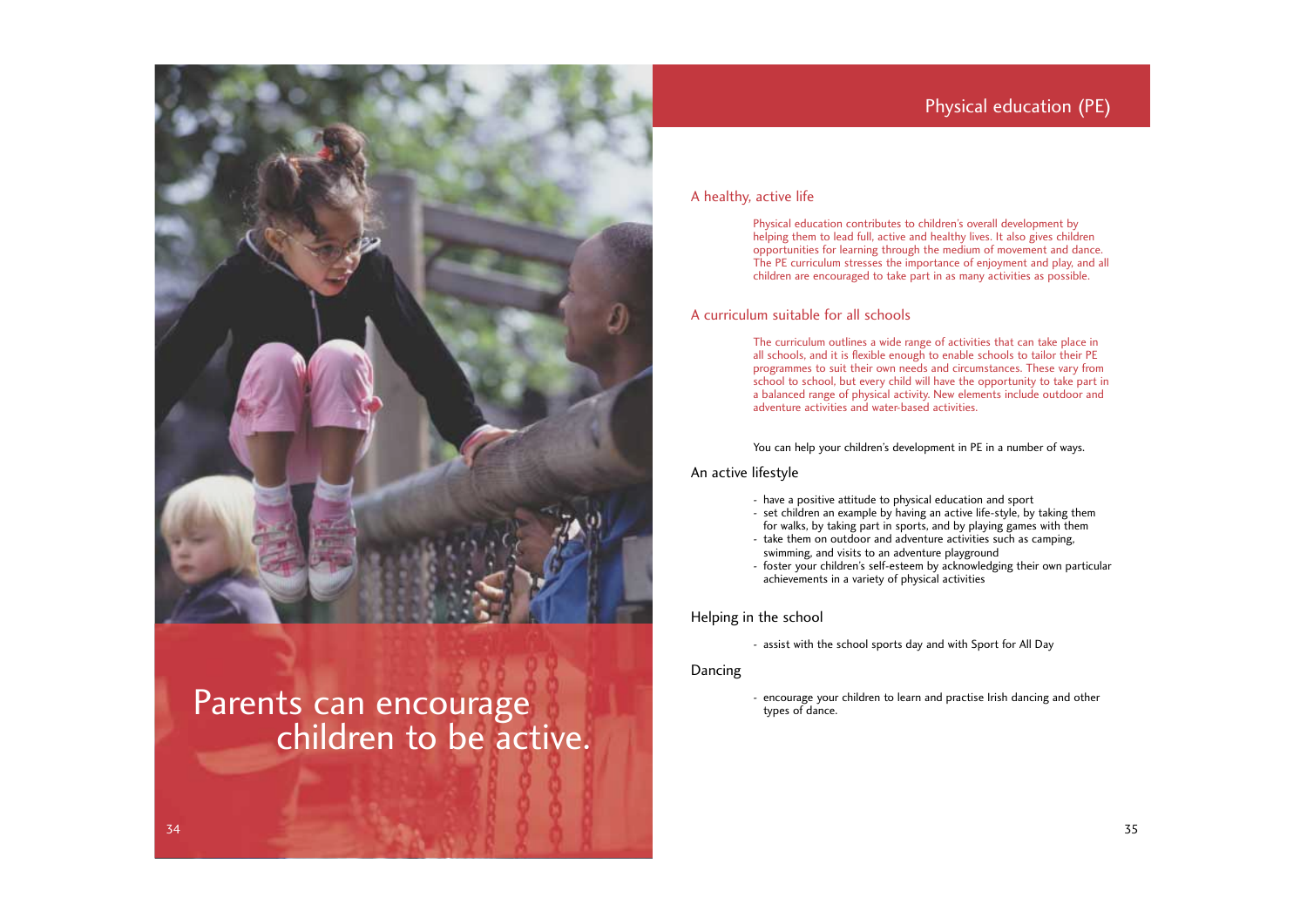

# Parents can encourage<br>
children to be active.

### A healthy, active life

Physical education contributes to children's overall development by helping them to lead full, active and healthy lives. It also gives children opportunities for learning through the medium of movement and dance. The PE curriculum stresses the importance of enjoyment and play, and all children are encouraged to take part in as many activities as possible.

### A curriculum suitable for all schools

The curriculum outlines a wide range of activities that can take place in all schools, and it is flexible enough to enable schools to tailor their PE programmes to suit their own needs and circumstances. These vary from school to school, but every child will have the opportunity to take part in a balanced range of physical activity. New elements include outdoor and adventure activities and water-based activities.

You can help your children's development in PE in a number of ways.

### An active lifestyle

- have a positive attitude to physical education and sport
- set children an example by having an active life-style, by taking them for walks, by taking part in sports, and by playing games with them
- take them on outdoor and adventure activities such as camping, swimming, and visits to an adventure playground
- foster your children's self-esteem by acknowledging their own particular achievements in a variety of physical activities

### Helping in the school

- assist with the school sports day and with Sport for All Day

Dancing

- encourage your children to learn and practise Irish dancing and other types of dance.

# Physical education (PE)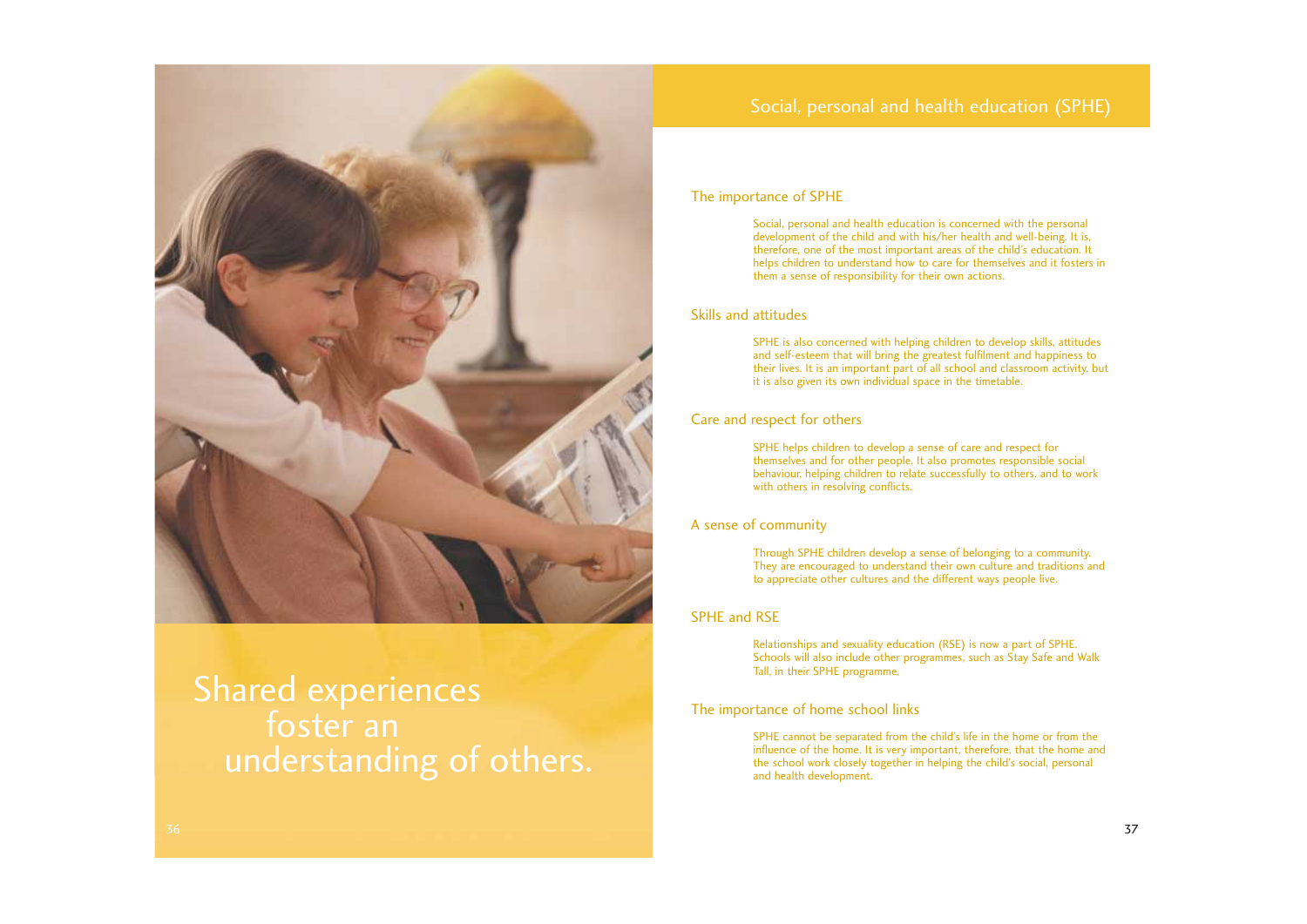### The importance of SPHE

Social, personal and health education is concerned with the personal development of the child and with his/her health and well-being. It is, therefore, one of the most important areas of the child's education. It helps children to understand how to care for themselves and it fosters in them a sense of responsibility for their own actions.

### Skills and attitudes

SPHE is also concerned with helping children to develop skills, attitudes and self-esteem that will bring the greatest fulfilment and happiness to their lives. It is an important part of all school and classroom activity, but it is also given its own individual space in the timetable.

### Care and respect for others

SPHE helps children to develop a sense of care and respect for themselves and for other people. It also promotes responsible social behaviour, helping children to relate successfully to others. and to work with others in resolving conflicts.

### A sense of community

Through SPHE children develop a sense of belonging to a community. They are encouraged to understand their own culture and traditions and to appreciate other cultures and the different ways people live.

### SPHE and RSE

Relationships and sexuality education (RSE) is now a part of SPHE. Schools will also include other programmes, such as Stay Safe and Walk Tall, in their SPHE programme.

### The importance of home school links

SPHE cannot be separated from the child's life in the home or from the influence of the home. It is very important, therefore, that the home and the school work closely together in helping the child's social, personal and health development.

## Social, personal and health education (SPHE)



# Shared experiences foster an understanding of others.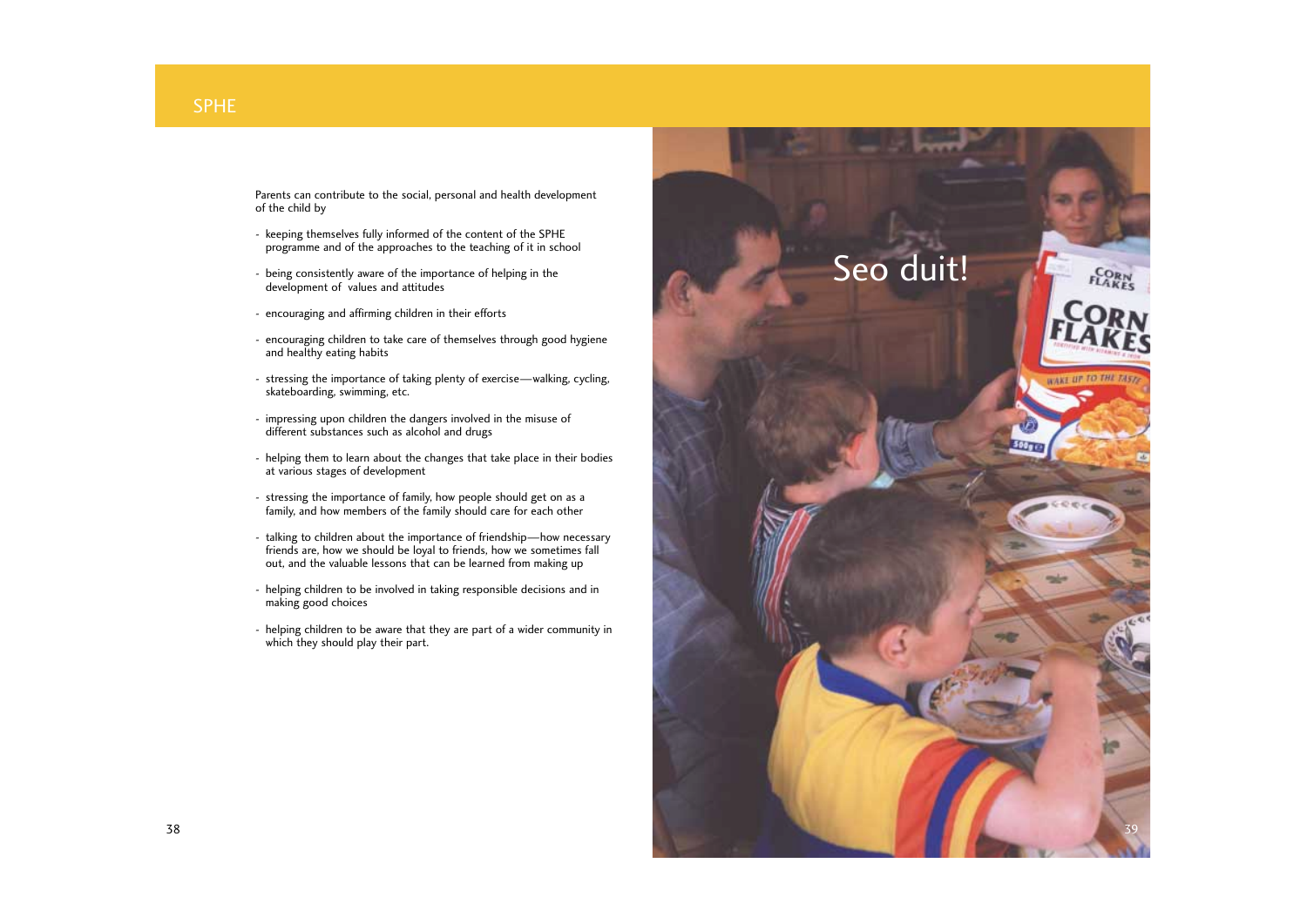Parents can contribute to the social, personal and health development of the child by

- keeping themselves fully informed of the content of the SPHE programme and of the approaches to the teaching of it in school
- being consistently aware of the importance of helping in the development of values and attitudes
- encouraging and affirming children in their efforts
- encouraging children to take care of themselves through good hygiene and healthy eating habits
- stressing the importance of taking plenty of exercise—walking, cycling, skateboarding, swimming, etc.
- impressing upon children the dangers involved in the misuse of different substances such as alcohol and drugs
- helping them to learn about the changes that take place in their bodies at various stages of development
- stressing the importance of family, how people should get on as a family, and how members of the family should care for each other
- talking to children about the importance of friendship—how necessary friends are, how we should be loyal to friends, how we sometimes fall out, and the valuable lessons that can be learned from making up
- helping children to be involved in taking responsible decisions and in making good choices
- helping children to be aware that they are part of a wider community in which they should play their part.

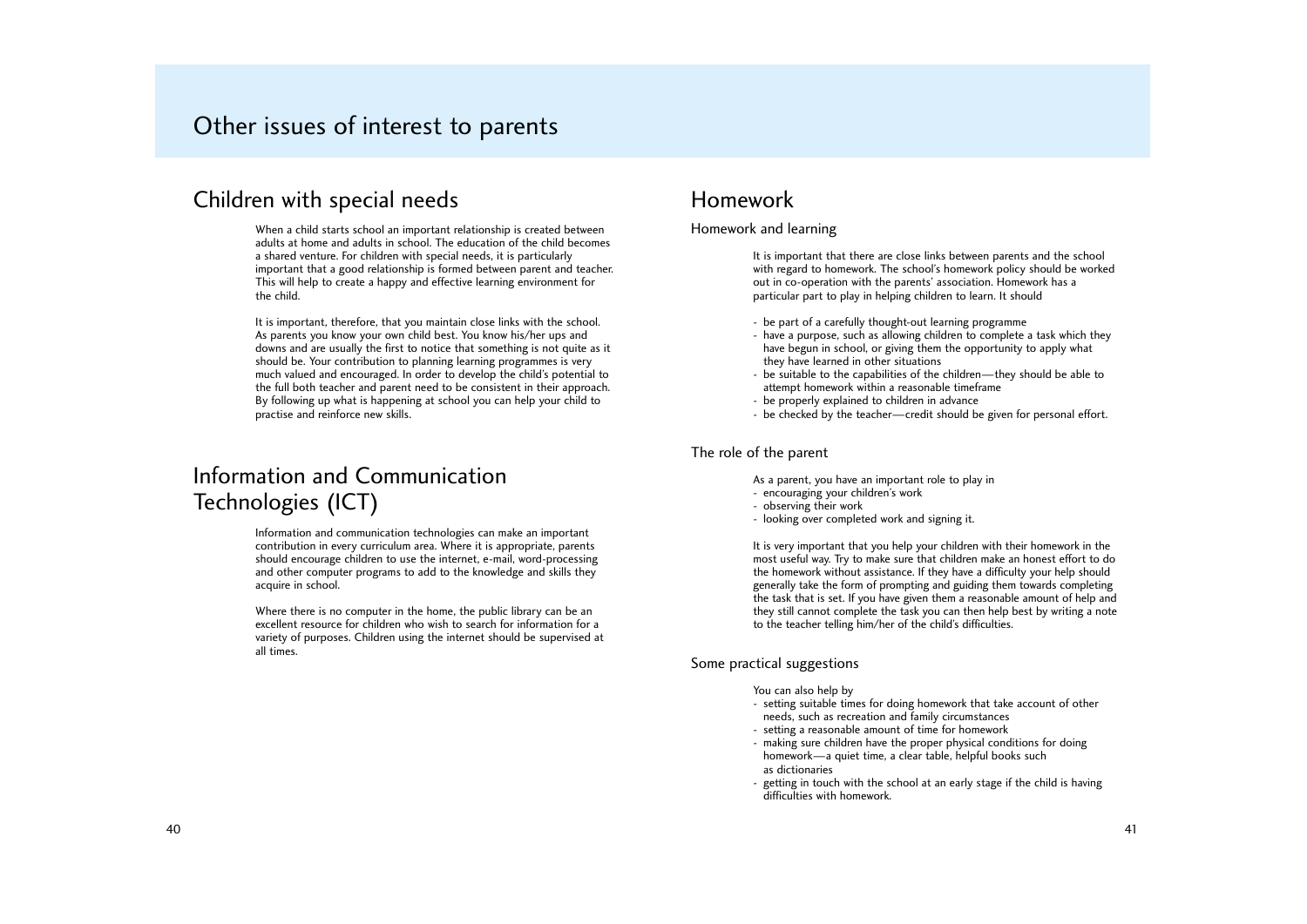## Children with special needs

When a child starts school an important relationship is created between adults at home and adults in school. The education of the child becomes a shared venture. For children with special needs, it is particularly important that a good relationship is formed between parent and teacher. This will help to create a happy and effective learning environment for the child.

It is important, therefore, that you maintain close links with the school. As parents you know your own child best. You know his/her ups and downs and are usually the first to notice that something is not quite as it should be. Your contribution to planning learning programmes is very much valued and encouraged. In order to develop the child's potential to the full both teacher and parent need to be consistent in their approach. By following up what is happening at school you can help your child to practise and reinforce new skills.

# Information and Communication Technologies (ICT)

Information and communication technologies can make an important contribution in every curriculum area. Where it is appropriate, parents should encourage children to use the internet, e-mail, word-processing and other computer programs to add to the knowledge and skills they acquire in school.

Where there is no computer in the home, the public library can be an excellent resource for children who wish to search for information for a variety of purposes. Children using the internet should be supervised at all times.

# Other issues of interest to parents

## Homework

### Homework and learning

It is important that there are close links between parents and the school with regard to homework. The school's homework policy should be worked out in co-operation with the parents' association. Homework has a particular part to play in helping children to learn. It should

- be part of a carefully thought-out learning programme
- have a purpose, such as allowing children to complete a task which they have begun in school, or giving them the opportunity to apply what they have learned in other situations
- be suitable to the capabilities of the children—they should be able to attempt homework within a reasonable timeframe
- be properly explained to children in advance
- be checked by the teacher—credit should be given for personal effort.

### The role of the parent

- As a parent, you have an important role to play in
- encouraging your children's work
- observing their work
- looking over completed work and signing it.

It is very important that you help your children with their homework in the most useful way. Try to make sure that children make an honest effort to do the homework without assistance. If they have a difficulty your help should generally take the form of prompting and guiding them towards completing the task that is set. If you have given them a reasonable amount of help and they still cannot complete the task you can then help best by writing a note to the teacher telling him/her of the child's difficulties.

### Some practical suggestions

You can also help by

- setting suitable times for doing homework that take account of other needs, such as recreation and family circumstances
- setting a reasonable amount of time for homework
- making sure children have the proper physical conditions for doing homework—a quiet time, a clear table, helpful books such as dictionaries
- getting in touch with the school at an early stage if the child is having difficulties with homework.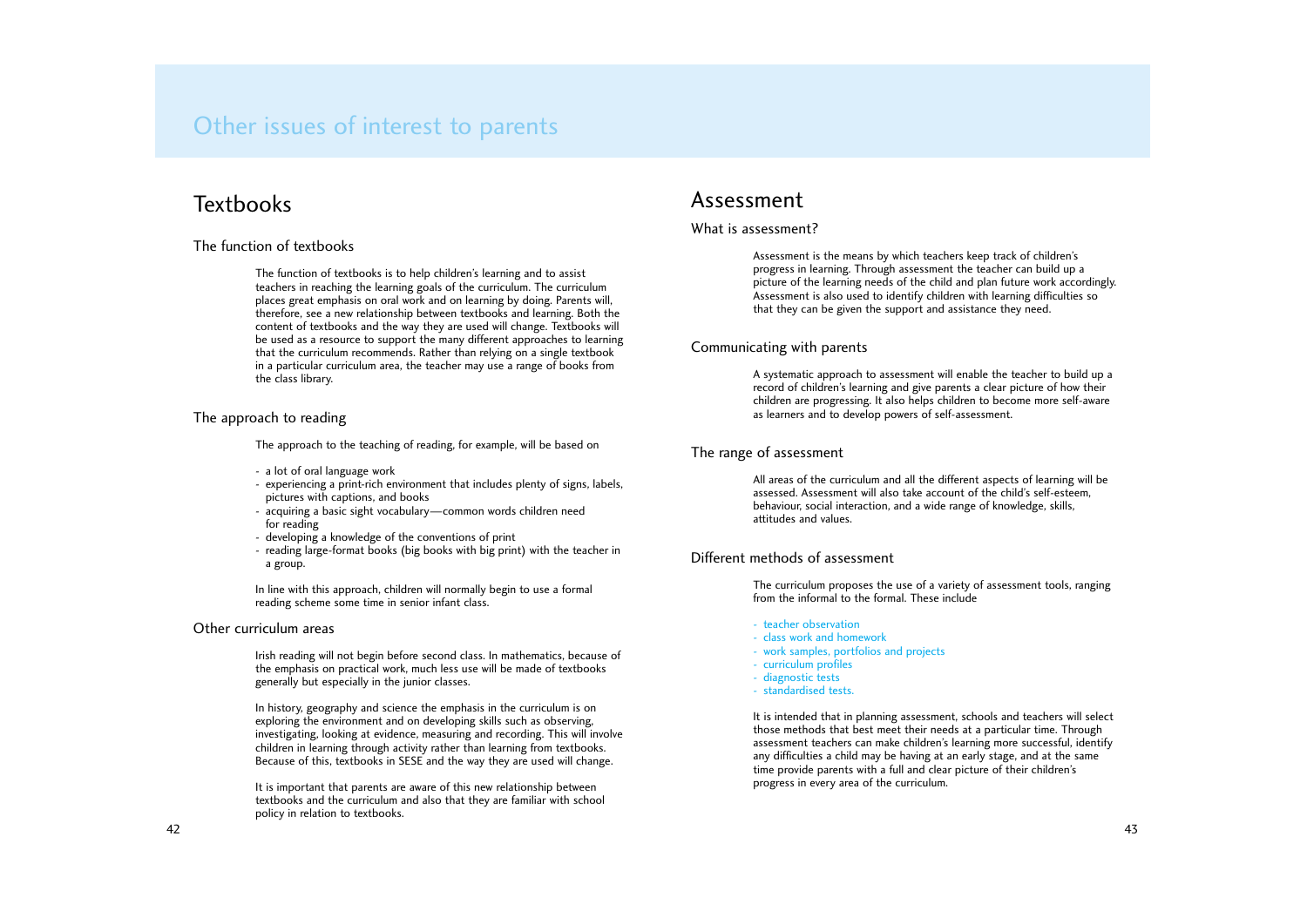### The function of textbooks

The function of textbooks is to help children's learning and to assist teachers in reaching the learning goals of the curriculum. The curriculum places great emphasis on oral work and on learning by doing. Parents will, therefore, see a new relationship between textbooks and learning. Both the content of textbooks and the way they are used will change. Textbooks will be used as a resource to support the many different approaches to learning that the curriculum recommends. Rather than relying on a single textbook in a particular curriculum area, the teacher may use a range of books from the class library.

### The approach to reading

The approach to the teaching of reading, for example, will be based on

- a lot of oral language work
- experiencing a print-rich environment that includes plenty of signs, labels, pictures with captions, and books
- acquiring a basic sight vocabulary—common words children need for reading
- developing a knowledge of the conventions of print
- reading large-format books (big books with big print) with the teacher in a group.

In line with this approach, children will normally begin to use a formal reading scheme some time in senior infant class.

### Other curriculum areas

Irish reading will not begin before second class. In mathematics, because of the emphasis on practical work, much less use will be made of textbooks generally but especially in the junior classes.

In history, geography and science the emphasis in the curriculum is on exploring the environment and on developing skills such as observing, investigating, looking at evidence, measuring and recording. This will involve children in learning through activity rather than learning from textbooks. Because of this, textbooks in SESE and the way they are used will change.

It is important that parents are aware of this new relationship between textbooks and the curriculum and also that they are familiar with school policy in relation to textbooks.

### Assessment

### What is assessment?

Assessment is the means by which teachers keep track of children's progress in learning. Through assessment the teacher can build up a picture of the learning needs of the child and plan future work accordingly. Assessment is also used to identify children with learning difficulties so that they can be given the support and assistance they need.

### Communicating with parents

A systematic approach to assessment will enable the teacher to build up a record of children's learning and give parents a clear picture of how their children are progressing. It also helps children to become more self-aware as learners and to develop powers of self-assessment.

### The range of assessment

All areas of the curriculum and all the different aspects of learning will be assessed. Assessment will also take account of the child's self-esteem, behaviour, social interaction, and a wide range of knowledge, skills, attitudes and values.

### Different methods of assessment

The curriculum proposes the use of a variety of assessment tools, ranging from the informal to the formal. These include

- teacher observation
- class work and homework
- work samples, portfolios and projects
- curriculum profiles
- diagnostic tests
- standardised tests.

It is intended that in planning assessment, schools and teachers will select those methods that best meet their needs at a particular time. Through assessment teachers can make children's learning more successful, identify any difficulties a child may be having at an early stage, and at the same time provide parents with a full and clear picture of their children's progress in every area of the curriculum.

# Other issues of interest to parents

# **Textbooks**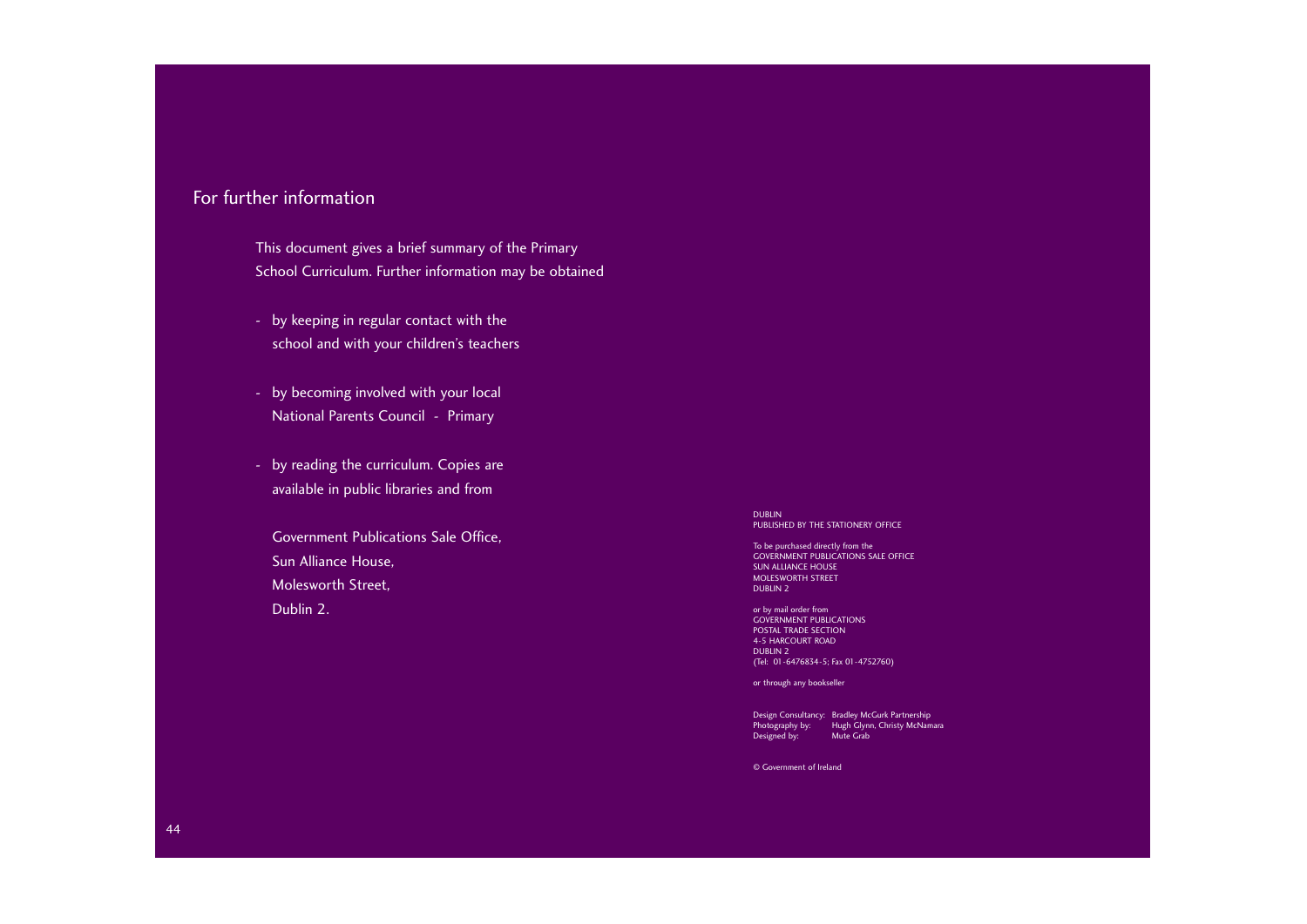## For further information

This document gives a brief summary of the Primary School Curriculum. Further information may be obtained

- by keeping in regular contact with the school and with your children's teachers
- by becoming involved with your local National Parents Council - Primary
- by reading the curriculum. Copies are available in public libraries and from

or by mail order from GOVERNMENT PUBLICATIONS POSTAL TRADE SECTION 4-5 HARCOURT ROAD DUBLIN 2 (Tel: 01-6476834-5; Fax 01-4752760)

Government Publications Sale Office, Sun Alliance House, Molesworth Street, Dublin 2.

DUBLIN PUBLISHED BY THE STATIONERY OFFICE

To be purchased directly from the GOVERNMENT PUBLICATIONS SALE OFFICE SUN ALLIANCE HOUSE MOLESWORTH STREET DUBLIN 2

or through any bookseller

Design Consultancy: Bradley McGurk Partnership Photography by: Hugh Glynn, Christy McNamara Designed by: Mute Grab

© Government of Ireland